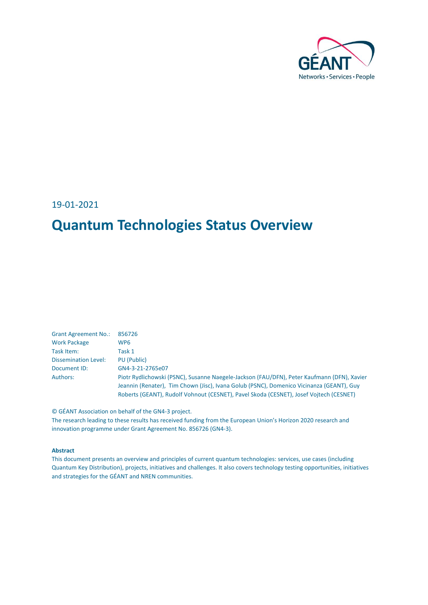

19-01-2021

## **Quantum Technologies Status Overview**

| <b>Grant Agreement No.:</b> | 856726                                                                                     |
|-----------------------------|--------------------------------------------------------------------------------------------|
| <b>Work Package</b>         | WP6                                                                                        |
| Task Item:                  | Task 1                                                                                     |
| <b>Dissemination Level:</b> | PU (Public)                                                                                |
| Document ID:                | GN4-3-21-2765e07                                                                           |
| Authors:                    | Piotr Rydlichowski (PSNC), Susanne Naegele-Jackson (FAU/DFN), Peter Kaufmann (DFN), Xavier |
|                             | Jeannin (Renater), Tim Chown (Jisc), Ivana Golub (PSNC), Domenico Vicinanza (GEANT), Guy   |
|                             | Roberts (GEANT), Rudolf Vohnout (CESNET), Pavel Skoda (CESNET), Josef Vojtech (CESNET)     |

© GÉANT Association on behalf of the GN4-3 project.

The research leading to these results has received funding from the European Union's Horizon 2020 research and innovation programme under Grant Agreement No. 856726 (GN4-3).

#### **Abstract**

This document presents an overview and principles of current quantum technologies: services, use cases (including Quantum Key Distribution), projects, initiatives and challenges. It also covers technology testing opportunities, initiatives and strategies for the GÉANT and NREN communities.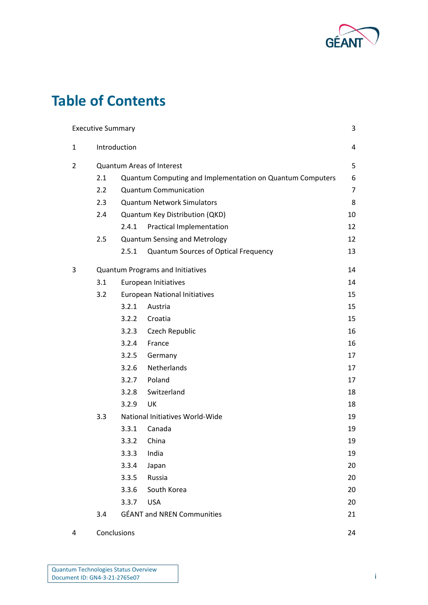

# **Table of Contents**

|   | <b>Executive Summary</b> |              |                                                           | 3              |
|---|--------------------------|--------------|-----------------------------------------------------------|----------------|
| 1 |                          | Introduction |                                                           | 4              |
| 2 |                          |              | <b>Quantum Areas of Interest</b>                          | 5              |
|   | 2.1                      |              | Quantum Computing and Implementation on Quantum Computers | 6              |
|   | 2.2                      |              | <b>Quantum Communication</b>                              | $\overline{7}$ |
|   | 2.3                      |              | <b>Quantum Network Simulators</b>                         | 8              |
|   | 2.4                      |              | Quantum Key Distribution (QKD)                            | 10             |
|   |                          | 2.4.1        | <b>Practical Implementation</b>                           | 12             |
|   | 2.5                      |              | <b>Quantum Sensing and Metrology</b>                      | 12             |
|   |                          | 2.5.1        | Quantum Sources of Optical Frequency                      | 13             |
| 3 |                          |              | Quantum Programs and Initiatives                          | 14             |
|   | 3.1                      |              | European Initiatives                                      | 14             |
|   | 3.2                      |              | <b>European National Initiatives</b>                      | 15             |
|   |                          | 3.2.1        | Austria                                                   | 15             |
|   |                          | 3.2.2        | Croatia                                                   | 15             |
|   |                          | 3.2.3        | Czech Republic                                            | 16             |
|   |                          | 3.2.4        | France                                                    | 16             |
|   |                          | 3.2.5        | Germany                                                   | 17             |
|   |                          | 3.2.6        | Netherlands                                               | 17             |
|   |                          | 3.2.7        | Poland                                                    | 17             |
|   |                          | 3.2.8        | Switzerland                                               | 18             |
|   |                          | 3.2.9        | UK                                                        | 18             |
|   | 3.3                      |              | National Initiatives World-Wide                           | 19             |
|   |                          | 3.3.1        | Canada                                                    | 19             |
|   |                          | 3.3.2        | China                                                     | 19             |
|   |                          | 3.3.3        | India                                                     | 19             |
|   |                          | 3.3.4        | Japan                                                     | 20             |
|   |                          | 3.3.5        | Russia                                                    | 20             |
|   |                          | 3.3.6        | South Korea                                               | 20             |
|   |                          | 3.3.7        | <b>USA</b>                                                | 20             |
|   | 3.4                      |              | <b>GÉANT and NREN Communities</b>                         | 21             |
| 4 | Conclusions              |              |                                                           | 24             |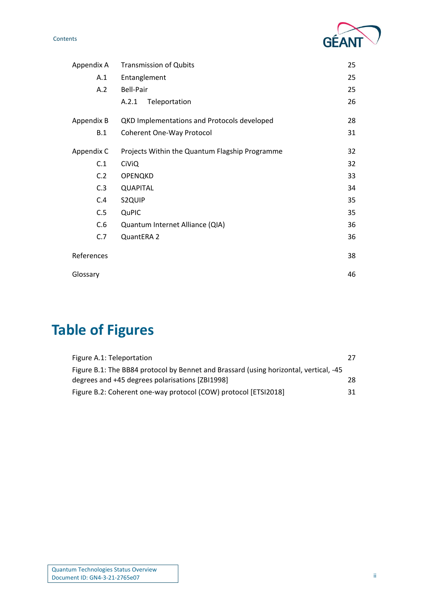G

| Appendix A | <b>Transmission of Qubits</b>                  | 25 |
|------------|------------------------------------------------|----|
| A.1        | Entanglement                                   | 25 |
| A.2        | Bell-Pair                                      | 25 |
|            | Teleportation<br>A.2.1                         | 26 |
| Appendix B | QKD Implementations and Protocols developed    | 28 |
| B.1        | <b>Coherent One-Way Protocol</b>               | 31 |
| Appendix C | Projects Within the Quantum Flagship Programme | 32 |
| C.1        | <b>CiViQ</b>                                   | 32 |
| C.2        | OPENQKD                                        | 33 |
| C.3        | <b>QUAPITAL</b>                                | 34 |
| C.4        | S2QUIP                                         | 35 |
| C.5        | QuPIC                                          | 35 |
| C.6        | Quantum Internet Alliance (QIA)                | 36 |
| C.7        | QuantERA 2                                     | 36 |
| References |                                                | 38 |
| Glossary   |                                                | 46 |

# **Table of Figures**

| Figure A.1: Teleportation                                                             |     |
|---------------------------------------------------------------------------------------|-----|
| Figure B.1: The BB84 protocol by Bennet and Brassard (using horizontal, vertical, -45 |     |
| degrees and +45 degrees polarisations [ZBI1998]                                       | 28. |
| Figure B.2: Coherent one-way protocol (COW) protocol [ETSI2018]                       | 31. |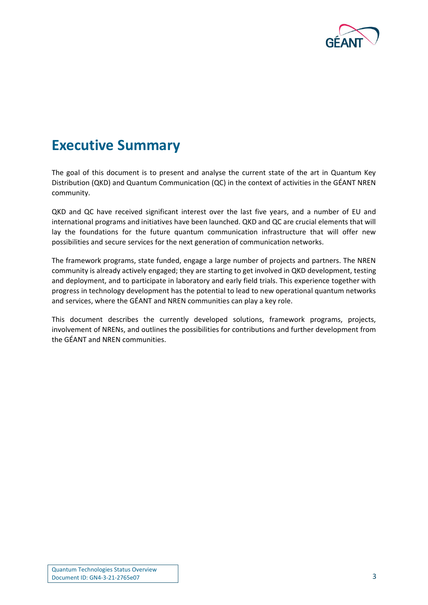

## <span id="page-3-0"></span>**Executive Summary**

The goal of this document is to present and analyse the current state of the art in Quantum Key Distribution (QKD) and Quantum Communication (QC) in the context of activities in the GÉANT NREN community.

QKD and QC have received significant interest over the last five years, and a number of EU and international programs and initiatives have been launched. QKD and QC are crucial elements that will lay the foundations for the future quantum communication infrastructure that will offer new possibilities and secure services for the next generation of communication networks.

The framework programs, state funded, engage a large number of projects and partners. The NREN community is already actively engaged; they are starting to get involved in QKD development, testing and deployment, and to participate in laboratory and early field trials. This experience together with progress in technology development has the potential to lead to new operational quantum networks and services, where the GÉANT and NREN communities can play a key role.

This document describes the currently developed solutions, framework programs, projects, involvement of NRENs, and outlines the possibilities for contributions and further development from the GÉANT and NREN communities.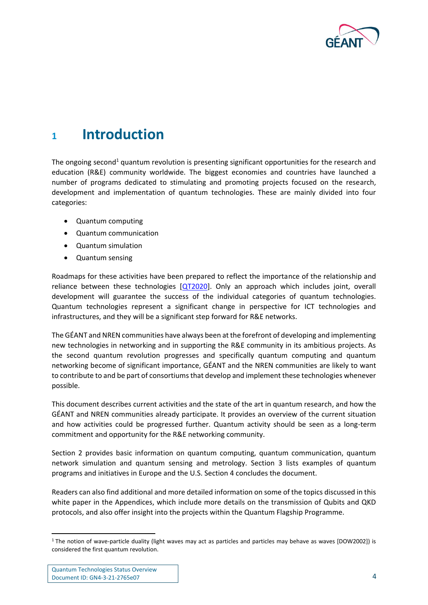

## <span id="page-4-0"></span>**<sup>1</sup> Introduction**

The ongoing second<sup>1</sup> quantum revolution is presenting significant opportunities for the research and education (R&E) community worldwide. The biggest economies and countries have launched a number of programs dedicated to stimulating and promoting projects focused on the research, development and implementation of quantum technologies. These are mainly divided into four categories:

- Quantum computing
- Quantum communication
- Quantum simulation
- Quantum sensing

Roadmaps for these activities have been prepared to reflect the importance of the relationship and reliance between these technologies [\[QT2020\]](#page-43-0). Only an approach which includes joint, overall development will guarantee the success of the individual categories of quantum technologies. Quantum technologies represent a significant change in perspective for ICT technologies and infrastructures, and they will be a significant step forward for R&E networks.

The GÉANT and NREN communities have always been at the forefront of developing and implementing new technologies in networking and in supporting the R&E community in its ambitious projects. As the second quantum revolution progresses and specifically quantum computing and quantum networking become of significant importance, GÉANT and the NREN communities are likely to want to contribute to and be part of consortiums that develop and implement these technologies whenever possible.

This document describes current activities and the state of the art in quantum research, and how the GÉANT and NREN communities already participate. It provides an overview of the current situation and how activities could be progressed further. Quantum activity should be seen as a long-term commitment and opportunity for the R&E networking community.

Section 2 provides basic information on quantum computing, quantum communication, quantum network simulation and quantum sensing and metrology. Section 3 lists examples of quantum programs and initiatives in Europe and the U.S. Section 4 concludes the document.

Readers can also find additional and more detailed information on some of the topics discussed in this white paper in the Appendices, which include more details on the transmission of Qubits and QKD protocols, and also offer insight into the projects within the Quantum Flagship Programme.

<sup>&</sup>lt;sup>1</sup> The notion of wave-particle duality (light waves may act as particles and particles may behave as waves [DOW2002]) is considered the first quantum revolution.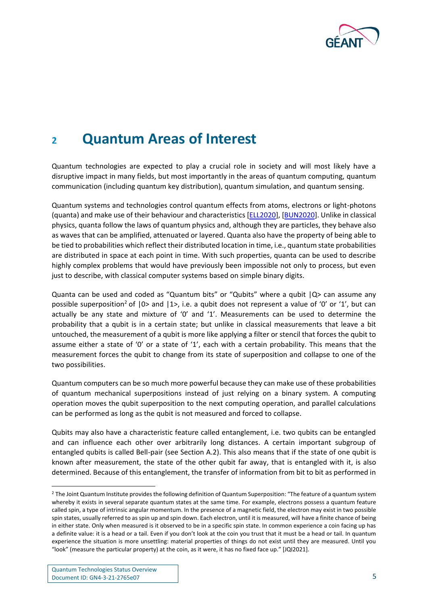

## <span id="page-5-0"></span>**<sup>2</sup> Quantum Areas of Interest**

Quantum technologies are expected to play a crucial role in society and will most likely have a disruptive impact in many fields, but most importantly in the areas of quantum computing, quantum communication (including quantum key distribution), quantum simulation, and quantum sensing.

Quantum systems and technologies control quantum effects from atoms, electrons or light-photons (quanta) and make use of their behaviour and characteristics [\[ELL2020\]](#page-39-0), [\[BUN2020\]](#page-38-1). Unlike in classical physics, quanta follow the laws of quantum physics and, although they are particles, they behave also as waves that can be amplified, attenuated or layered. Quanta also have the property of being able to be tied to probabilities which reflect their distributed location in time, i.e., quantum state probabilities are distributed in space at each point in time. With such properties, quanta can be used to describe highly complex problems that would have previously been impossible not only to process, but even just to describe, with classical computer systems based on simple binary digits.

Quanta can be used and coded as "Quantum bits" or "Qubits" where a qubit  $|Q\rangle$  can assume any possible superposition<sup>2</sup> of  $|0>$  and  $|1>$ , i.e. a qubit does not represent a value of '0' or '1', but can actually be any state and mixture of '0' and '1'. Measurements can be used to determine the probability that a qubit is in a certain state; but unlike in classical measurements that leave a bit untouched, the measurement of a qubit is more like applying a filter or stencil that forces the qubit to assume either a state of '0' or a state of '1', each with a certain probability. This means that the measurement forces the qubit to change from its state of superposition and collapse to one of the two possibilities.

Quantum computers can be so much more powerful because they can make use of these probabilities of quantum mechanical superpositions instead of just relying on a binary system. A computing operation moves the qubit superposition to the next computing operation, and parallel calculations can be performed as long as the qubit is not measured and forced to collapse.

Qubits may also have a characteristic feature called entanglement, i.e. two qubits can be entangled and can influence each other over arbitrarily long distances. A certain important subgroup of entangled qubits is called Bell-pair (see Section A.2). This also means that if the state of one qubit is known after measurement, the state of the other qubit far away, that is entangled with it, is also determined. Because of this entanglement, the transfer of information from bit to bit as performed in

<sup>&</sup>lt;sup>2</sup> The Joint Quantum Institute provides the following definition of Quantum Superposition: "The feature of a quantum system whereby it exists in several separate quantum states at the same time. For example, electrons possess a quantum feature called spin, a type of intrinsic angular momentum. In the presence of a magnetic field, the electron may exist in two possible spin states, usually referred to as spin up and spin down. Each electron, until it is measured, will have a finite chance of being in either state. Only when measured is it observed to be in a specific spin state. In common experience a coin facing up has a definite value: it is a head or a tail. Even if you don't look at the coin you trust that it must be a head or tail. In quantum experience the situation is more unsettling: material properties of things do not exist until they are measured. Until you "look" (measure the particular property) at the coin, as it were, it has no fixed face up." [JQI2021].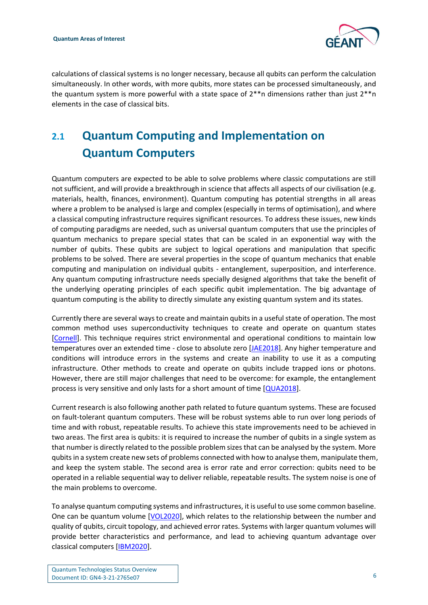

calculations of classical systems is no longer necessary, because all qubits can perform the calculation simultaneously. In other words, with more qubits, more states can be processed simultaneously, and the quantum system is more powerful with a state space of 2\*\*n dimensions rather than just 2\*\*n elements in the case of classical bits.

## <span id="page-6-0"></span>**2.1 Quantum Computing and Implementation on Quantum Computers**

Quantum computers are expected to be able to solve problems where classic computations are still not sufficient, and will provide a breakthrough in science that affects all aspects of our civilisation (e.g. materials, health, finances, environment). Quantum computing has potential strengths in all areas where a problem to be analysed is large and complex (especially in terms of optimisation), and where a classical computing infrastructure requires significant resources. To address these issues, new kinds of computing paradigms are needed, such as universal quantum computers that use the principles of quantum mechanics to prepare special states that can be scaled in an exponential way with the number of qubits. These qubits are subject to logical operations and manipulation that specific problems to be solved. There are several properties in the scope of quantum mechanics that enable computing and manipulation on individual qubits - entanglement, superposition, and interference. Any quantum computing infrastructure needs specially designed algorithms that take the benefit of the underlying operating principles of each specific qubit implementation. The big advantage of quantum computing is the ability to directly simulate any existing quantum system and its states.

Currently there are several ways to create and maintain qubits in a useful state of operation. The most common method uses superconductivity techniques to create and operate on quantum states [\[Cornell\]](#page-39-1). This technique requires strict environmental and operational conditions to maintain low temperatures over an extended time - close to absolute zero [\[JAE2018\]](#page-41-0). Any higher temperature and conditions will introduce errors in the systems and create an inability to use it as a computing infrastructure. Other methods to create and operate on qubits include trapped ions or photons. However, there are still major challenges that need to be overcome: for example, the entanglement process is very sensitive and only lasts for a short amount of time [\[QUA2018\]](#page-43-1).

Current research is also following another path related to future quantum systems. These are focused on fault-tolerant quantum computers. These will be robust systems able to run over long periods of time and with robust, repeatable results. To achieve this state improvements need to be achieved in two areas. The first area is qubits: it is required to increase the number of qubits in a single system as that number is directly related to the possible problem sizes that can be analysed by the system. More qubits in a system create new sets of problems connected with how to analyse them, manipulate them, and keep the system stable. The second area is error rate and error correction: qubits need to be operated in a reliable sequential way to deliver reliable, repeatable results. The system noise is one of the main problems to overcome.

To analyse quantum computing systems and infrastructures, it is useful to use some common baseline. One can be quantum volume [\[VOL2020\]](#page-44-0), which relates to the relationship between the number and quality of qubits, circuit topology, and achieved error rates. Systems with larger quantum volumes will provide better characteristics and performance, and lead to achieving quantum advantage over classical computers [\[IBM2020\]](#page-41-1).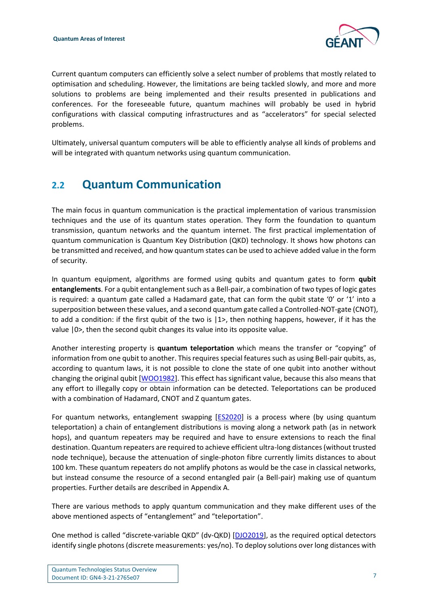

Current quantum computers can efficiently solve a select number of problems that mostly related to optimisation and scheduling. However, the limitations are being tackled slowly, and more and more solutions to problems are being implemented and their results presented in publications and conferences. For the foreseeable future, quantum machines will probably be used in hybrid configurations with classical computing infrastructures and as "accelerators" for special selected problems.

Ultimately, universal quantum computers will be able to efficiently analyse all kinds of problems and will be integrated with quantum networks using quantum communication.

### <span id="page-7-0"></span>**2.2 Quantum Communication**

The main focus in quantum communication is the practical implementation of various transmission techniques and the use of its quantum states operation. They form the foundation to quantum transmission, quantum networks and the quantum internet. The first practical implementation of quantum communication is Quantum Key Distribution (QKD) technology. It shows how photons can be transmitted and received, and how quantum states can be used to achieve added value in the form of security.

In quantum equipment, algorithms are formed using qubits and quantum gates to form **qubit entanglements**. For a qubit entanglement such as a Bell-pair, a combination of two types of logic gates is required: a quantum gate called a Hadamard gate, that can form the qubit state '0' or '1' into a superposition between these values, and a second quantum gate called a Controlled-NOT-gate (CNOT), to add a condition: if the first qubit of the two is  $|1\rangle$ , then nothing happens, however, if it has the value |0>, then the second qubit changes its value into its opposite value.

Another interesting property is **quantum teleportation** which means the transfer or "copying" of information from one qubit to another. This requires special features such as using Bell-pair qubits, as, according to quantum laws, it is not possible to clone the state of one qubit into another without changing the original qubit [\[WOO1982\]](#page-45-0). This effect has significant value, because this also means that any effort to illegally copy or obtain information can be detected. Teleportations can be produced with a combination of Hadamard, CNOT and Z quantum gates.

For quantum networks, entanglement swapping [\[ES2020\]](#page-39-2) is a process where (by using quantum teleportation) a chain of entanglement distributions is moving along a network path (as in network hops), and quantum repeaters may be required and have to ensure extensions to reach the final destination. Quantum repeaters are required to achieve efficient ultra-long distances (without trusted node technique), because the attenuation of single-photon fibre currently limits distances to about 100 km. These quantum repeaters do not amplify photons as would be the case in classical networks, but instead consume the resource of a second entangled pair (a Bell-pair) making use of quantum properties. Further details are described in Appendix A.

There are various methods to apply quantum communication and they make different uses of the above mentioned aspects of "entanglement" and "teleportation".

One method is called "discrete-variable QKD" (dv-QKD) [\[DJO2019\]](#page-39-3), as the required optical detectors identify single photons (discrete measurements: yes/no). To deploy solutions over long distances with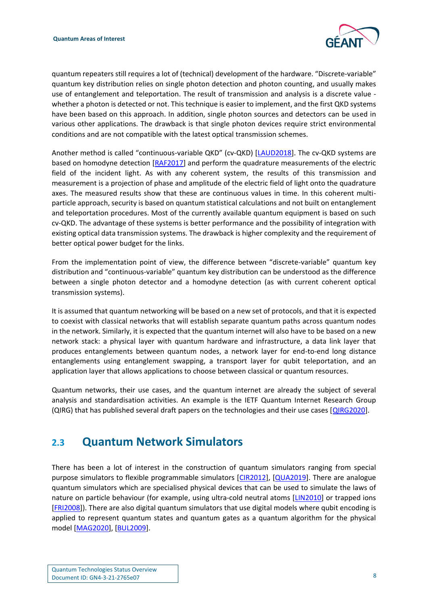

quantum repeaters still requires a lot of (technical) development of the hardware. "Discrete-variable" quantum key distribution relies on single photon detection and photon counting, and usually makes use of entanglement and teleportation. The result of transmission and analysis is a discrete value whether a photon is detected or not. This technique is easier to implement, and the first QKD systems have been based on this approach. In addition, single photon sources and detectors can be used in various other applications. The drawback is that single photon devices require strict environmental conditions and are not compatible with the latest optical transmission schemes.

Another method is called "continuous-variable QKD" (cv-QKD) [\[LAUD2018\]](#page-41-2). The cv-QKD systems are based on homodyne detection [\[RAF2017\]](#page-44-1) and perform the quadrature measurements of the electric field of the incident light. As with any coherent system, the results of this transmission and measurement is a projection of phase and amplitude of the electric field of light onto the quadrature axes. The measured results show that these are continuous values in time. In this coherent multiparticle approach, security is based on quantum statistical calculations and not built on entanglement and teleportation procedures. Most of the currently available quantum equipment is based on such cv-QKD. The advantage of these systems is better performance and the possibility of integration with existing optical data transmission systems. The drawback is higher complexity and the requirement of better optical power budget for the links.

From the implementation point of view, the difference between "discrete-variable" quantum key distribution and "continuous-variable" quantum key distribution can be understood as the difference between a single photon detector and a homodyne detection (as with current coherent optical transmission systems).

It is assumed that quantum networking will be based on a new set of protocols, and that it is expected to coexist with classical networks that will establish separate quantum paths across quantum nodes in the network. Similarly, it is expected that the quantum internet will also have to be based on a new network stack: a physical layer with quantum hardware and infrastructure, a data link layer that produces entanglements between quantum nodes, a network layer for end-to-end long distance entanglements using entanglement swapping, a transport layer for qubit teleportation, and an application layer that allows applications to choose between classical or quantum resources.

Quantum networks, their use cases, and the quantum internet are already the subject of several analysis and standardisation activities. An example is the IETF Quantum Internet Research Group (QIRG) that has published several draft papers on the technologies and their use cases [\[QIRG2020\]](#page-43-2).

### <span id="page-8-0"></span>**2.3 Quantum Network Simulators**

There has been a lot of interest in the construction of quantum simulators ranging from special purpose simulators to flexible programmable simulators [\[CIR2012\]](#page-39-4), [\[QUA2019\]](#page-43-3). There are analogue quantum simulators which are specialised physical devices that can be used to simulate the laws of nature on particle behaviour (for example, using ultra-cold neutral atoms [\[LIN2010\]](#page-42-0) or trapped ions [\[FRI2008\]](#page-40-0)). There are also digital quantum simulators that use digital models where qubit encoding is applied to represent quantum states and quantum gates as a quantum algorithm for the physical model [\[MAG2020\]](#page-42-1), [\[BUL2009\]](#page-38-2).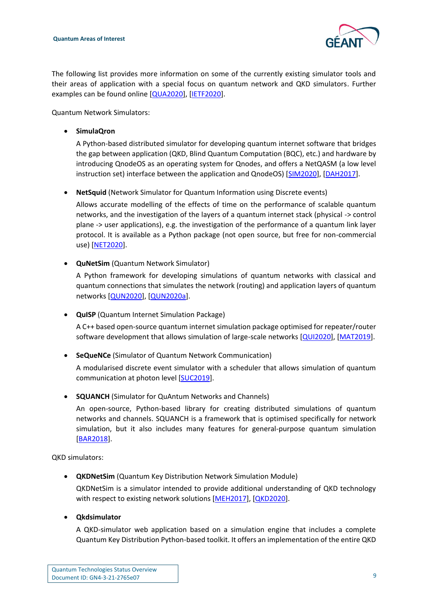

The following list provides more information on some of the currently existing simulator tools and their areas of application with a special focus on quantum network and QKD simulators. Further examples can be found online [\[QUA2020\]](#page-43-4), [\[IETF2020\]](#page-41-3).

Quantum Network Simulators:

• **SimulaQron**

A Python-based distributed simulator for developing quantum internet software that bridges the gap between application (QKD, Blind Quantum Computation (BQC), etc.) and hardware by introducing QnodeOS as an operating system for Qnodes, and offers a NetQASM (a low level instruction set) interface between the application and QnodeOS) [\[SIM2020\]](#page-44-2), [\[DAH2017\]](#page-39-5).

• **NetSquid** (Network Simulator for Quantum Information using Discrete events)

Allows accurate modelling of the effects of time on the performance of scalable quantum networks, and the investigation of the layers of a quantum internet stack (physical -> control plane -> user applications), e.g. the investigation of the performance of a quantum link layer protocol. It is available as a Python package (not open source, but free for non-commercial use) [\[NET2020\]](#page-42-2).

• **QuNetSim** (Quantum Network Simulator)

A Python framework for developing simulations of quantum networks with classical and quantum connections that simulates the network (routing) and application layers of quantum networks [\[QUN2020\]](#page-43-5), [\[QUN2020a\]](#page-43-6).

• **QuISP** (Quantum Internet Simulation Package)

A C++ based open-source quantum internet simulation package optimised for repeater/router software development that allows simulation of large-scale networks [\[QUI2020\]](#page-43-7), [\[MAT2019\]](#page-42-3).

• **SeQueNCe** (Simulator of Quantum Network Communication)

A modularised discrete event simulator with a scheduler that allows simulation of quantum communication at photon level [\[SUC2019\]](#page-44-3).

• **SQUANCH** (Simulator for QuAntum Networks and Channels)

An open-source, Python-based library for creating distributed simulations of quantum networks and channels. SQUANCH is a framework that is optimised specifically for network simulation, but it also includes many features for general-purpose quantum simulation [\[BAR2018\]](#page-38-3).

QKD simulators:

• **QKDNetSim** (Quantum Key Distribution Network Simulation Module)

QKDNetSim is a simulator intended to provide additional understanding of QKD technology with respect to existing network solutions [\[MEH2017\]](#page-42-4), [\[QKD2020\]](#page-43-8).

• **Qkdsimulator**

A QKD-simulator web application based on a simulation engine that includes a complete Quantum Key Distribution Python-based toolkit. It offers an implementation of the entire QKD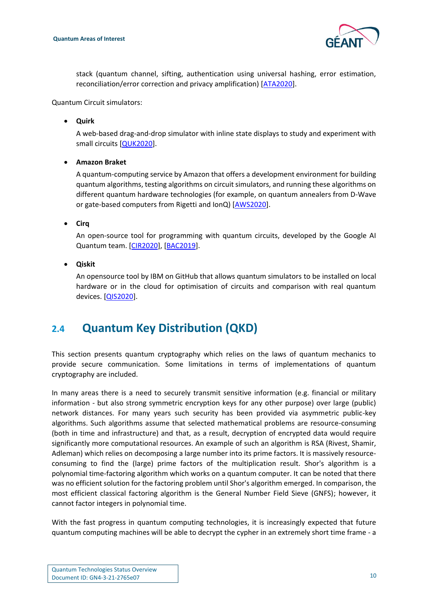

stack (quantum channel, sifting, authentication using universal hashing, error estimation, reconciliation/error correction and privacy amplification) [\[ATA2020\]](#page-38-4).

Quantum Circuit simulators:

• **Quirk**

A web-based drag-and-drop simulator with inline state displays to study and experiment with small circuits [\[QUK2020\]](#page-43-9).

• **Amazon Braket**

A quantum-computing service by Amazon that offers a development environment for building quantum algorithms, testing algorithms on circuit simulators, and running these algorithms on different quantum hardware technologies (for example, on quantum annealers from D-Wave or gate-based computers from Rigetti and IonQ) [\[AWS2020\]](#page-38-5).

• **Cirq**

An open-source tool for programming with quantum circuits, developed by the Google AI Quantum team. [\[CIR2020\]](#page-39-6), [\[BAC2019\]](#page-38-6).

• **Qiskit** 

An opensource tool by IBM on GitHub that allows quantum simulators to be installed on local hardware or in the cloud for optimisation of circuits and comparison with real quantum devices. [\[QIS2020\]](#page-43-10).

### <span id="page-10-0"></span>**2.4 Quantum Key Distribution (QKD)**

This section presents quantum cryptography which relies on the laws of quantum mechanics to provide secure communication. Some limitations in terms of implementations of quantum cryptography are included.

In many areas there is a need to securely transmit sensitive information (e.g. financial or military information - but also strong symmetric encryption keys for any other purpose) over large (public) network distances. For many years such security has been provided via asymmetric public-key algorithms. Such algorithms assume that selected mathematical problems are resource-consuming (both in time and infrastructure) and that, as a result, decryption of encrypted data would require significantly more computational resources. An example of such an algorithm is RSA (Rivest, Shamir, Adleman) which relies on decomposing a large number into its prime factors. It is massively resourceconsuming to find the (large) prime factors of the multiplication result. Shor's algorithm is a polynomial time-factoring algorithm which works on a quantum computer. It can be noted that there was no efficient solution for the factoring problem until Shor's algorithm emerged. In comparison, the most efficient classical factoring algorithm is the General Number Field Sieve (GNFS); however, it cannot factor integers in polynomial time.

With the fast progress in quantum computing technologies, it is increasingly expected that future quantum computing machines will be able to decrypt the cypher in an extremely short time frame - a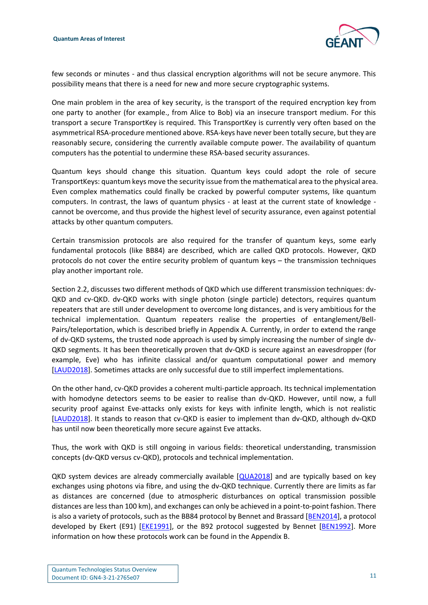

few seconds or minutes - and thus classical encryption algorithms will not be secure anymore. This possibility means that there is a need for new and more secure cryptographic systems.

One main problem in the area of key security, is the transport of the required encryption key from one party to another (for example., from Alice to Bob) via an insecure transport medium. For this transport a secure TransportKey is required. This TransportKey is currently very often based on the asymmetrical RSA-procedure mentioned above. RSA-keys have never been totally secure, but they are reasonably secure, considering the currently available compute power. The availability of quantum computers has the potential to undermine these RSA-based security assurances.

Quantum keys should change this situation. Quantum keys could adopt the role of secure TransportKeys: quantum keys move the security issue from the mathematical area to the physical area. Even complex mathematics could finally be cracked by powerful computer systems, like quantum computers. In contrast, the laws of quantum physics - at least at the current state of knowledge cannot be overcome, and thus provide the highest level of security assurance, even against potential attacks by other quantum computers.

Certain transmission protocols are also required for the transfer of quantum keys, some early fundamental protocols (like BB84) are described, which are called QKD protocols. However, QKD protocols do not cover the entire security problem of quantum keys – the transmission techniques play another important role.

Section 2.2, discusses two different methods of QKD which use different transmission techniques: dv-QKD and cv-QKD. dv-QKD works with single photon (single particle) detectors, requires quantum repeaters that are still under development to overcome long distances, and is very ambitious for the technical implementation. Quantum repeaters realise the properties of entanglement/Bell-Pairs/teleportation, which is described briefly in Appendix A. Currently, in order to extend the range of dv-QKD systems, the trusted node approach is used by simply increasing the number of single dv-QKD segments. It has been theoretically proven that dv-QKD is secure against an eavesdropper (for example, Eve) who has infinite classical and/or quantum computational power and memory [\[LAUD2018\]](#page-41-2). Sometimes attacks are only successful due to still imperfect implementations.

On the other hand, cv-QKD provides a coherent multi-particle approach. Its technical implementation with homodyne detectors seems to be easier to realise than dv-QKD. However, until now, a full security proof against Eve-attacks only exists for keys with infinite length, which is not realistic [\[LAUD2018\]](#page-41-2). It stands to reason that cv-QKD is easier to implement than dv-QKD, although dv-QKD has until now been theoretically more secure against Eve attacks.

Thus, the work with QKD is still ongoing in various fields: theoretical understanding, transmission concepts (dv-QKD versus cv-QKD), protocols and technical implementation.

QKD system devices are already commercially available [\[QUA2018\]](#page-43-1) and are typically based on key exchanges using photons via fibre, and using the dv-QKD technique. Currently there are limits as far as distances are concerned (due to atmospheric disturbances on optical transmission possible distances are less than 100 km), and exchanges can only be achieved in a point-to-point fashion. There is also a variety of protocols, such as the BB84 protocol by Bennet and Brassard [\[BEN2014\]](#page-38-7), a protocol developed by Ekert (E91) [\[EKE1991\]](#page-39-7), or the B92 protocol suggested by Bennet [\[BEN1992\]](#page-38-8). More information on how these protocols work can be found in the Appendix B.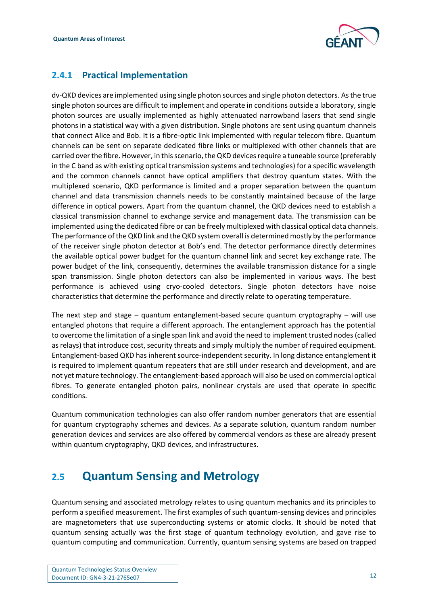

### <span id="page-12-0"></span>**2.4.1 Practical Implementation**

dv-QKD devices are implemented using single photon sources and single photon detectors. As the true single photon sources are difficult to implement and operate in conditions outside a laboratory, single photon sources are usually implemented as highly attenuated narrowband lasers that send single photons in a statistical way with a given distribution. Single photons are sent using quantum channels that connect Alice and Bob. It is a fibre-optic link implemented with regular telecom fibre. Quantum channels can be sent on separate dedicated fibre links or multiplexed with other channels that are carried over the fibre. However, in this scenario, the QKD devices require a tuneable source (preferably in the C band as with existing optical transmission systems and technologies) for a specific wavelength and the common channels cannot have optical amplifiers that destroy quantum states. With the multiplexed scenario, QKD performance is limited and a proper separation between the quantum channel and data transmission channels needs to be constantly maintained because of the large difference in optical powers. Apart from the quantum channel, the QKD devices need to establish a classical transmission channel to exchange service and management data. The transmission can be implemented using the dedicated fibre or can be freely multiplexed with classical optical data channels. The performance of the QKD link and the QKD system overall is determined mostly by the performance of the receiver single photon detector at Bob's end. The detector performance directly determines the available optical power budget for the quantum channel link and secret key exchange rate. The power budget of the link, consequently, determines the available transmission distance for a single span transmission. Single photon detectors can also be implemented in various ways. The best performance is achieved using cryo-cooled detectors. Single photon detectors have noise characteristics that determine the performance and directly relate to operating temperature.

The next step and stage – quantum entanglement-based secure quantum cryptography – will use entangled photons that require a different approach. The entanglement approach has the potential to overcome the limitation of a single span link and avoid the need to implement trusted nodes (called as relays) that introduce cost, security threats and simply multiply the number of required equipment. Entanglement-based QKD has inherent source-independent security. In long distance entanglement it is required to implement quantum repeaters that are still under research and development, and are not yet mature technology. The entanglement-based approach will also be used on commercial optical fibres. To generate entangled photon pairs, nonlinear crystals are used that operate in specific conditions.

Quantum communication technologies can also offer random number generators that are essential for quantum cryptography schemes and devices. As a separate solution, quantum random number generation devices and services are also offered by commercial vendors as these are already present within quantum cryptography, QKD devices, and infrastructures.

## <span id="page-12-1"></span>**2.5 Quantum Sensing and Metrology**

Quantum sensing and associated metrology relates to using quantum mechanics and its principles to perform a specified measurement. The first examples of such quantum-sensing devices and principles are magnetometers that use superconducting systems or atomic clocks. It should be noted that quantum sensing actually was the first stage of quantum technology evolution, and gave rise to quantum computing and communication. Currently, quantum sensing systems are based on trapped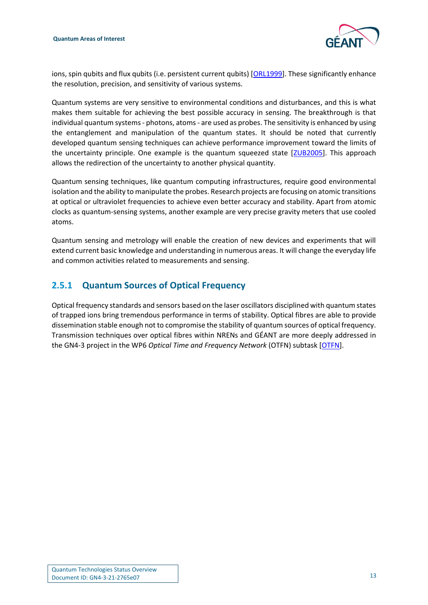

ions, spin qubits and flux qubits (i.e. persistent current qubits) [\[ORL1999\]](#page-42-5). These significantly enhance the resolution, precision, and sensitivity of various systems.

Quantum systems are very sensitive to environmental conditions and disturbances, and this is what makes them suitable for achieving the best possible accuracy in sensing. The breakthrough is that individual quantum systems - photons, atoms - are used as probes. The sensitivity is enhanced by using the entanglement and manipulation of the quantum states. It should be noted that currently developed quantum sensing techniques can achieve performance improvement toward the limits of the uncertainty principle. One example is the quantum squeezed state [\[ZUB2005\]](#page-45-1). This approach allows the redirection of the uncertainty to another physical quantity.

Quantum sensing techniques, like quantum computing infrastructures, require good environmental isolation and the ability to manipulate the probes. Research projects are focusing on atomic transitions at optical or ultraviolet frequencies to achieve even better accuracy and stability. Apart from atomic clocks as quantum-sensing systems, another example are very precise gravity meters that use cooled atoms.

Quantum sensing and metrology will enable the creation of new devices and experiments that will extend current basic knowledge and understanding in numerous areas. It will change the everyday life and common activities related to measurements and sensing.

### <span id="page-13-0"></span>**2.5.1 Quantum Sources of Optical Frequency**

Optical frequency standards and sensors based on the laser oscillators disciplined with quantum states of trapped ions bring tremendous performance in terms of stability. Optical fibres are able to provide dissemination stable enough not to compromise the stability of quantum sources of optical frequency. Transmission techniques over optical fibres within NRENs and GÉANT are more deeply addressed in the GN4-3 project in the WP6 *Optical Time and Frequency Network* (OTFN) subtask [\[OTFN\]](#page-42-6).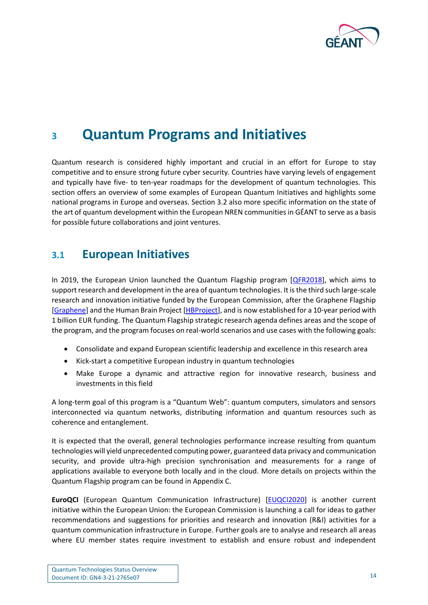

## <span id="page-14-0"></span>**<sup>3</sup> Quantum Programs and Initiatives**

Quantum research is considered highly important and crucial in an effort for Europe to stay competitive and to ensure strong future cyber security. Countries have varying levels of engagement and typically have five- to ten-year roadmaps for the development of quantum technologies. This section offers an overview of some examples of European Quantum Initiatives and highlights some national programs in Europe and overseas. Section 3.2 also more specific information on the state of the art of quantum development within the European NREN communities in GÉANT to serve as a basis for possible future collaborations and joint ventures.

### <span id="page-14-1"></span>**3.1 European Initiatives**

In 2019, the European Union launched the Quantum Flagship program [\[QFR2018\]](#page-42-7), which aims to support research and development in the area of quantum technologies. It is the third such large-scale research and innovation initiative funded by the European Commission, after the Graphene Flagship [\[Graphene\]](#page-41-4) and the Human Brain Project [\[HBProject\]](#page-41-5), and is now established for a 10-year period with 1 billion EUR funding. The Quantum Flagship strategic research agenda defines areas and the scope of the program, and the program focuses on real-world scenarios and use cases with the following goals:

- Consolidate and expand European scientific leadership and excellence in this research area
- Kick-start a competitive European industry in quantum technologies
- Make Europe a dynamic and attractive region for innovative research, business and investments in this field

A long-term goal of this program is a "Quantum Web": quantum computers, simulators and sensors interconnected via quantum networks, distributing information and quantum resources such as coherence and entanglement.

It is expected that the overall, general technologies performance increase resulting from quantum technologies will yield unprecedented computing power, guaranteed data privacy and communication security, and provide ultra-high precision synchronisation and measurements for a range of applications available to everyone both locally and in the cloud. More details on projects within the Quantum Flagship program can be found in Appendix C.

**EuroQCI** (European Quantum Communication Infrastructure) [\[EUQCI2020\]](#page-40-1) is another current initiative within the European Union: the European Commission is launching a call for ideas to gather recommendations and suggestions for priorities and research and innovation (R&I) activities for a quantum communication infrastructure in Europe. Further goals are to analyse and research all areas where EU member states require investment to establish and ensure robust and independent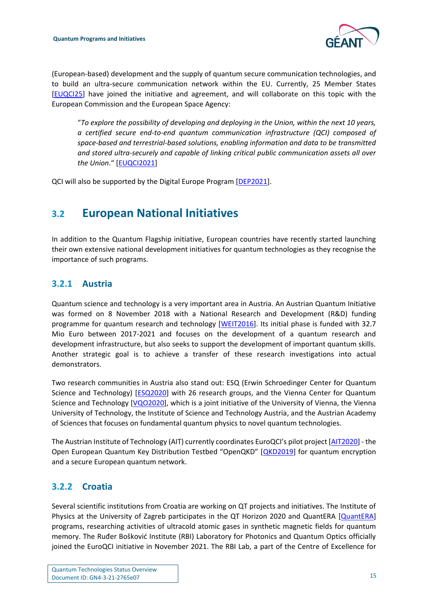

(European-based) development and the supply of quantum secure communication technologies, and to build an ultra-secure communication network within the EU. Currently, 25 Member States [\[EUQCI25\]](#page-40-2) have joined the initiative and agreement, and will collaborate on this topic with the European Commission and the European Space Agency:

"*To explore the possibility of developing and deploying in the Union, within the next 10 years, a certified secure end-to-end quantum communication infrastructure (QCI) composed of space-based and terrestrial-based solutions, enabling information and data to be transmitted and stored ultra-securely and capable of linking critical public communication assets all over the Union*." [\[EUQCI2021\]](#page-40-3)

QCI will also be supported by the Digital Europe Program [\[DEP2021\]](#page-39-8).

## <span id="page-15-0"></span>**3.2 European National Initiatives**

In addition to the Quantum Flagship initiative, European countries have recently started launching their own extensive national development initiatives for quantum technologies as they recognise the importance of such programs.

#### <span id="page-15-1"></span>**3.2.1 Austria**

Quantum science and technology is a very important area in Austria. An Austrian Quantum Initiative was formed on 8 November 2018 with a National Research and Development (R&D) funding programme for quantum research and technology [\[WEIT2016\]](#page-45-2). Its initial phase is funded with 32.7 Mio Euro between 2017-2021 and focuses on the development of a quantum research and development infrastructure, but also seeks to support the development of important quantum skills. Another strategic goal is to achieve a transfer of these research investigations into actual demonstrators.

Two research communities in Austria also stand out: ESQ (Erwin Schroedinger Center for Quantum Science and Technology) [\[ESQ2020\]](#page-39-9) with 26 research groups, and the Vienna Center for Quantum Science and Technology [\[VQO2020\]](#page-44-4), which is a joint initiative of the University of Vienna, the Vienna University of Technology, the Institute of Science and Technology Austria, and the Austrian Academy of Sciences that focuses on fundamental quantum physics to novel quantum technologies.

The Austrian Institute of Technology (AIT) currently coordinates EuroQCI's pilot project [[AIT2020\]](#page-38-9) - the Open European Quantum Key Distribution Testbed "OpenQKD" [[QKD2019\]](#page-43-11) for quantum encryption and a secure European quantum network.

### <span id="page-15-2"></span>**3.2.2 Croatia**

Several scientific institutions from Croatia are working on QT projects and initiatives. The Institute of Physics at the University of Zagreb participates in the QT Horizon 2020 and QuantERA [\[QuantERA\]](#page-43-12) programs, researching activities of ultracold atomic gases in synthetic magnetic fields for quantum memory. The Ruđer Bošković Institute (RBI) Laboratory for Photonics and Quantum Optics officially joined the EuroQCI initiative in November 2021. The RBI Lab, a part of the Centre of Excellence for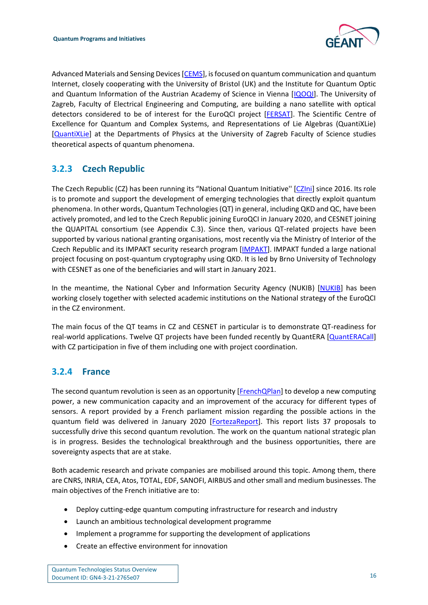

Advanced Materials and Sensing Devices [\[CEMS\]](#page-39-10), is focused on quantum communication and quantum Internet, closely cooperating with the University of Bristol (UK) and the Institute for Quantum Optic and Quantum Information of the Austrian Academy of Science in Vienna [\[IQOQI\]](#page-41-6). The University of Zagreb, Faculty of Electrical Engineering and Computing, are building a nano satellite with optical detectors considered to be of interest for the EuroQCI project [\[FERSAT\]](#page-40-4). The Scientific Centre of Excellence for Quantum and Complex Systems, and Representations of Lie Algebras (QuantiXLie) [\[QuantiXLie\]](#page-43-13) at the Departments of Physics at the University of Zagreb Faculty of Science studies theoretical aspects of quantum phenomena.

### <span id="page-16-0"></span>**3.2.3 Czech Republic**

The Czech Republic (CZ) has been running its "National Quantum Initiative'' [\[CZIni\]](#page-39-11) since 2016. Its role is to promote and support the development of emerging technologies that directly exploit quantum phenomena. In other words, Quantum Technologies (QT) in general, including QKD and QC, have been actively promoted, and led to the Czech Republic joining EuroQCI in January 2020, and CESNET joining the QUAPITAL consortium (see Appendix C.3). Since then, various QT-related projects have been supported by various national granting organisations, most recently via the Ministry of Interior of the Czech Republic and its IMPAKT security research program [\[IMPAKT\]](#page-41-7). IMPAKT funded a large national project focusing on post-quantum cryptography using QKD. It is led by Brno University of Technology with CESNET as one of the beneficiaries and will start in January 2021.

In the meantime, the National Cyber and Information Security Agency (NUKIB) [\[NUKIB\]](#page-42-8) has been working closely together with selected academic institutions on the National strategy of the EuroQCI in the CZ environment.

The main focus of the QT teams in CZ and CESNET in particular is to demonstrate QT-readiness for real-world applications. Twelve QT projects have been funded recently by QuantERA [\[QuantERACall\]](#page-43-14) with CZ participation in five of them including one with project coordination.

#### <span id="page-16-1"></span>**3.2.4 France**

The second quantum revolution is seen as an opportunity [\[FrenchQPlan\]](#page-40-5) to develop a new computing power, a new communication capacity and an improvement of the accuracy for different types of sensors. A report provided by a French parliament mission regarding the possible actions in the quantum field was delivered in January 2020 [\[FortezaReport\]](#page-40-6). This report lists 37 proposals to successfully drive this second quantum revolution. The work on the quantum national strategic plan is in progress. Besides the technological breakthrough and the business opportunities, there are sovereignty aspects that are at stake.

Both academic research and private companies are mobilised around this topic. Among them, there are CNRS, INRIA, CEA, Atos, TOTAL, EDF, SANOFI, AIRBUS and other small and medium businesses. The main objectives of the French initiative are to:

- Deploy cutting-edge quantum computing infrastructure for research and industry
- Launch an ambitious technological development programme
- Implement a programme for supporting the development of applications
- Create an effective environment for innovation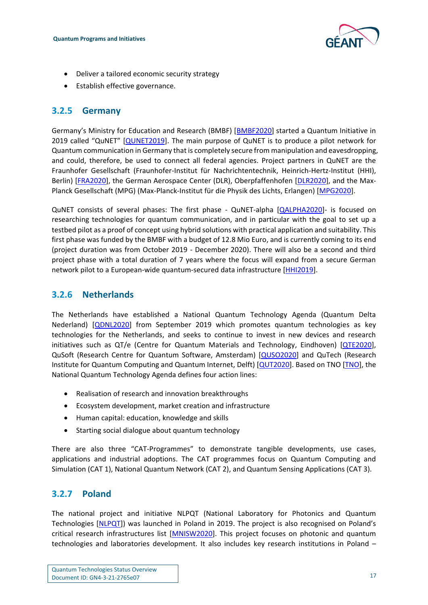

- Deliver a tailored economic security strategy
- Establish effective governance.

#### <span id="page-17-0"></span>**3.2.5 Germany**

Germany's Ministry for Education and Research (BMBF) [[BMBF2020\]](#page-38-10) started a Quantum Initiative in 2019 called "QuNET" [[QUNET2019\]](#page-43-15). The main purpose of QuNET is to produce a pilot network for Quantum communication in Germany that is completely secure from manipulation and eavesdropping, and could, therefore, be used to connect all federal agencies. Project partners in QuNET are the Fraunhofer Gesellschaft (Fraunhofer-Institut für Nachrichtentechnik, Heinrich-Hertz-Institut (HHI), Berlin) [\[FRA2020\]](#page-40-7), the German Aerospace Center (DLR), Oberpfaffenhofen [\[DLR2020\]](#page-39-12), and the Max-Planck Gesellschaft (MPG) (Max-Planck-Institut für die Physik des Lichts, Erlangen) [\[MPG2020\]](#page-42-9).

QuNET consists of several phases: The first phase - QuNET-alpha [\[QALPHA2020\]](#page-42-10)- is focused on researching technologies for quantum communication, and in particular with the goal to set up a testbed pilot as a proof of concept using hybrid solutions with practical application and suitability. This first phase was funded by the BMBF with a budget of 12.8 Mio Euro, and is currently coming to its end (project duration was from October 2019 - December 2020). There will also be a second and third project phase with a total duration of 7 years where the focus will expand from a secure German network pilot to a European-wide quantum-secured data infrastructure [\[HHI2019\]](#page-41-8).

#### <span id="page-17-1"></span>**3.2.6 Netherlands**

The Netherlands have established a National Quantum Technology Agenda (Quantum Delta Nederland) [\[QDNL2020\]](#page-42-11) from September 2019 which promotes quantum technologies as key technologies for the Netherlands, and seeks to continue to invest in new devices and research initiatives such as QT/e (Centre for Quantum Materials and Technology, Eindhoven) [\[QTE2020\]](#page-43-16), QuSoft (Research Centre for Quantum Software, Amsterdam) [\[QUSO2020\]](#page-44-5) and QuTech (Research Institute for Quantum Computing and Quantum Internet, Delft) [\[QUT2020\]](#page-44-6). Based on TNO [\[TNO\]](#page-44-7), the National Quantum Technology Agenda defines four action lines:

- Realisation of research and innovation breakthroughs
- Ecosystem development, market creation and infrastructure
- Human capital: education, knowledge and skills
- Starting social dialogue about quantum technology

There are also three "CAT-Programmes" to demonstrate tangible developments, use cases, applications and industrial adoptions. The CAT programmes focus on Quantum Computing and Simulation (CAT 1), National Quantum Network (CAT 2), and Quantum Sensing Applications (CAT 3).

### <span id="page-17-2"></span>**3.2.7 Poland**

The national project and initiative NLPQT (National Laboratory for Photonics and Quantum Technologies [\[NLPQT\]](#page-42-12)) was launched in Poland in 2019. The project is also recognised on Poland's critical research infrastructures list [\[MNISW2020\]](#page-42-13). This project focuses on photonic and quantum technologies and laboratories development. It also includes key research institutions in Poland –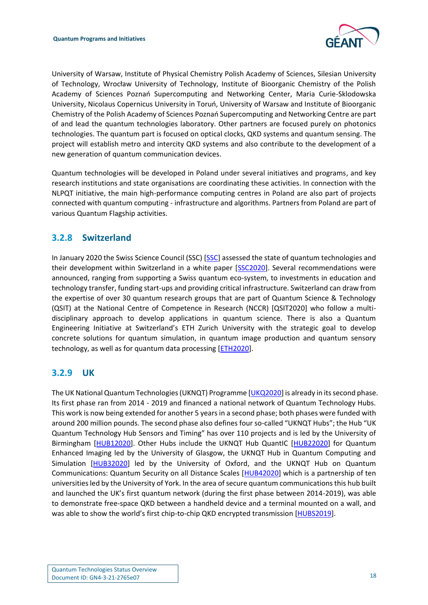

University of Warsaw, Institute of Physical Chemistry Polish Academy of Sciences, Silesian University of Technology, Wrocław University of Technology, Institute of Bioorganic Chemistry of the Polish Academy of Sciences Poznań Supercomputing and Networking Center, Maria Curie-Sklodowska University, Nicolaus Copernicus University in Toruń, University of Warsaw and Institute of Bioorganic Chemistry of the Polish Academy of Sciences Poznań Supercomputing and Networking Centre are part of and lead the quantum technologies laboratory. Other partners are focused purely on photonics technologies. The quantum part is focused on optical clocks, QKD systems and quantum sensing. The project will establish metro and intercity QKD systems and also contribute to the development of a new generation of quantum communication devices.

Quantum technologies will be developed in Poland under several initiatives and programs, and key research institutions and state organisations are coordinating these activities. In connection with the NLPQT initiative, the main high-performance computing centres in Poland are also part of projects connected with quantum computing - infrastructure and algorithms. Partners from Poland are part of various Quantum Flagship activities.

#### <span id="page-18-0"></span>**3.2.8 Switzerland**

In January 2020 the Swiss Science Council (SSC) [\[SSC\]](#page-44-8) assessed the state of quantum technologies and their development within Switzerland in a white paper [\[SSC2020\]](#page-44-9). Several recommendations were announced, ranging from supporting a Swiss quantum eco-system, to investments in education and technology transfer, funding start-ups and providing critical infrastructure. Switzerland can draw from the expertise of over 30 quantum research groups that are part of Quantum Science & Technology (QSIT) at the National Centre of Competence in Research (NCCR) [QSIT2020] who follow a multidisciplinary approach to develop applications in quantum science. There is also a Quantum Engineering Initiative at Switzerland's ETH Zurich University with the strategic goal to develop concrete solutions for quantum simulation, in quantum image production and quantum sensory technology, as well as for quantum data processing [\[ETH2020\]](#page-40-8).

#### <span id="page-18-1"></span>**3.2.9 UK**

The UK National Quantum Technologies (UKNQT) Programme [\[UKQ2020\]](#page-44-10) is already in its second phase. Its first phase ran from 2014 - 2019 and financed a national network of Quantum Technology Hubs. This work is now being extended for another 5 years in a second phase; both phases were funded with around 200 million pounds. The second phase also defines four so-called "UKNQT Hubs"; the Hub "UK Quantum Technology Hub Sensors and Timing" has over 110 projects and is led by the University of Birmingham [\[HUB12020\]](#page-41-9). Other Hubs include the UKNQT Hub QuantIC [\[HUB22020\]](#page-41-10) for Quantum Enhanced Imaging led by the University of Glasgow, the UKNQT Hub in Quantum Computing and Simulation [\[HUB32020\]](#page-41-11) led by the University of Oxford, and the UKNQT Hub on Quantum Communications: Quantum Security on all Distance Scales [\[HUB42020\]](#page-41-12) which is a partnership of ten universities led by the University of York. In the area of secure quantum communications this hub built and launched the UK's first quantum network (during the first phase between 2014-2019), was able to demonstrate free-space QKD between a handheld device and a terminal mounted on a wall, and was able to show the world's first chip-to-chip QKD encrypted transmission [\[HUBS2019\]](#page-41-13).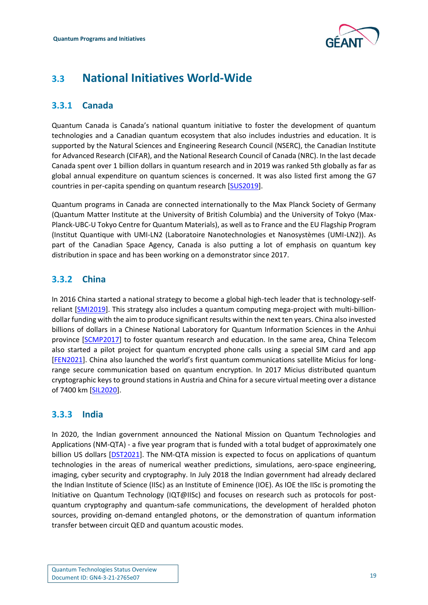

## <span id="page-19-0"></span>**3.3 National Initiatives World-Wide**

#### <span id="page-19-1"></span>**3.3.1 Canada**

Quantum Canada is Canada's national quantum initiative to foster the development of quantum technologies and a Canadian quantum ecosystem that also includes industries and education. It is supported by the Natural Sciences and Engineering Research Council (NSERC), the Canadian Institute for Advanced Research (CIFAR), and the National Research Council of Canada (NRC). In the last decade Canada spent over 1 billion dollars in quantum research and in 2019 was ranked 5th globally as far as global annual expenditure on quantum sciences is concerned. It was also listed first among the G7 countries in per-capita spending on quantum research [\[SUS2019\]](#page-44-11).

Quantum programs in Canada are connected internationally to the Max Planck Society of Germany (Quantum Matter Institute at the University of British Columbia) and the University of Tokyo (Max-Planck-UBC-U Tokyo Centre for Quantum Materials), as well as to France and the EU Flagship Program (Institut Quantique with UMI-LN2 (Laboratoire Nanotechnologies et Nanosystèmes (UMI-LN2)). As part of the Canadian Space Agency, Canada is also putting a lot of emphasis on quantum key distribution in space and has been working on a demonstrator since 2017.

### <span id="page-19-2"></span>**3.3.2 China**

In 2016 China started a national strategy to become a global high-tech leader that is technology-selfreliant [\[SMI2019\]](#page-44-12). This strategy also includes a quantum computing mega-project with multi-billiondollar funding with the aim to produce significant results within the next ten years. China also invested billions of dollars in a Chinese National Laboratory for Quantum Information Sciences in the Anhui province [\[SCMP2017\]](#page-44-13) to foster quantum research and education. In the same area, China Telecom also started a pilot project for quantum encrypted phone calls using a special SIM card and app [\[FEN2021\]](#page-40-9). China also launched the world's first quantum communications satellite Micius for longrange secure communication based on quantum encryption. In 2017 Micius distributed quantum cryptographic keys to ground stations in Austria and China for a secure virtual meeting over a distance of 7400 km [\[SIL2020\]](#page-44-14).

### <span id="page-19-3"></span>**3.3.3 India**

In 2020, the Indian government announced the National Mission on Quantum Technologies and Applications (NM-QTA) - a five year program that is funded with a total budget of approximately one billion US dollars [\[DST2021\]](#page-39-13). The NM-QTA mission is expected to focus on applications of quantum technologies in the areas of numerical weather predictions, simulations, aero-space engineering, imaging, cyber security and cryptography. In July 2018 the Indian government had already declared the Indian Institute of Science (IISc) as an Institute of Eminence (IOE). As IOE the IISc is promoting the Initiative on Quantum Technology (IQT@IISc) and focuses on research such as protocols for postquantum cryptography and quantum-safe communications, the development of heralded photon sources, providing on-demand entangled photons, or the demonstration of quantum information transfer between circuit QED and quantum acoustic modes.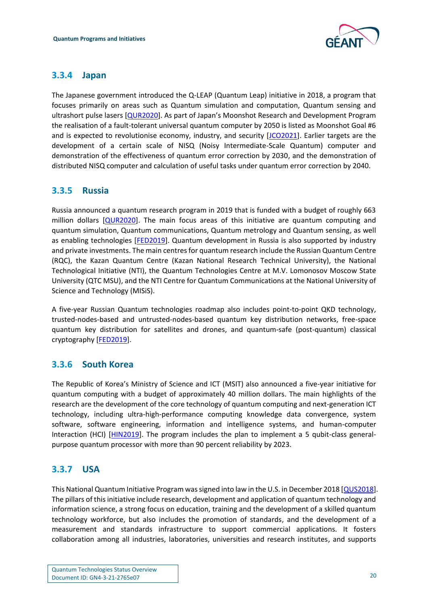

#### <span id="page-20-0"></span>**3.3.4 Japan**

The Japanese government introduced the Q-LEAP (Quantum Leap) initiative in 2018, a program that focuses primarily on areas such as Quantum simulation and computation, Quantum sensing and ultrashort pulse lasers [\[QUR2020\]](#page-43-17). As part of Japan's Moonshot Research and Development Program the realisation of a fault-tolerant universal quantum computer by 2050 is listed as Moonshot Goal #6 and is expected to revolutionise economy, industry, and security [\[JCO2021\]](#page-41-14). Earlier targets are the development of a certain scale of NISQ (Noisy Intermediate-Scale Quantum) computer and demonstration of the effectiveness of quantum error correction by 2030, and the demonstration of distributed NISQ computer and calculation of useful tasks under quantum error correction by 2040.

#### <span id="page-20-1"></span>**3.3.5 Russia**

Russia announced a quantum research program in 2019 that is funded with a budget of roughly 663 million dollars [\[QUR2020\]](#page-43-17). The main focus areas of this initiative are quantum computing and quantum simulation, Quantum communications, Quantum metrology and Quantum sensing, as well as enabling technologies [\[FED2019\]](#page-40-10). Quantum development in Russia is also supported by industry and private investments. The main centres for quantum research include the Russian Quantum Centre (RQC), the Kazan Quantum Centre (Kazan National Research Technical University), the National Technological Initiative (NTI), the Quantum Technologies Centre at M.V. Lomonosov Moscow State University (QTC MSU), and the NTI Centre for Quantum Communications at the National University of Science and Technology (MISiS).

A five-year Russian Quantum technologies roadmap also includes point-to-point QKD technology, trusted-nodes-based and untrusted-nodes-based quantum key distribution networks, free-space quantum key distribution for satellites and drones, and quantum-safe (post-quantum) classical cryptography [\[FED2019\]](#page-40-10).

### <span id="page-20-2"></span>**3.3.6 South Korea**

The Republic of Korea's Ministry of Science and ICT (MSIT) also announced a five-year initiative for quantum computing with a budget of approximately 40 million dollars. The main highlights of the research are the development of the core technology of quantum computing and next-generation ICT technology, including ultra-high-performance computing knowledge data convergence, system software, software engineering, information and intelligence systems, and human-computer Interaction (HCI) [\[HIN2019\]](#page-41-15). The program includes the plan to implement a 5 qubit-class generalpurpose quantum processor with more than 90 percent reliability by 2023.

### <span id="page-20-3"></span>**3.3.7 USA**

This National Quantum Initiative Program was signed into law in the U.S. in December 2018 [\[QUS2018\]](#page-43-18). The pillars of this initiative include research, development and application of quantum technology and information science, a strong focus on education, training and the development of a skilled quantum technology workforce, but also includes the promotion of standards, and the development of a measurement and standards infrastructure to support commercial applications. It fosters collaboration among all industries, laboratories, universities and research institutes, and supports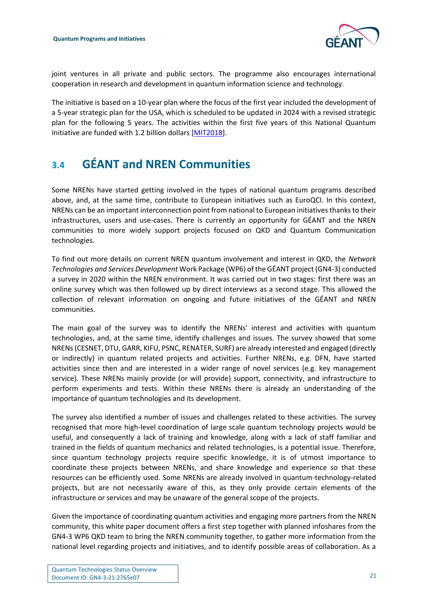

joint ventures in all private and public sectors. The programme also encourages international cooperation in research and development in quantum information science and technology.

The initiative is based on a 10-year plan where the focus of the first year included the development of a 5-year strategic plan for the USA, which is scheduled to be updated in 2024 with a revised strategic plan for the following 5 years. The activities within the first five years of this National Quantum Initiative are funded with 1.2 billion dollars [\[MIT2018\]](#page-42-14).

## <span id="page-21-0"></span>**3.4 GÉANT and NREN Communities**

Some NRENs have started getting involved in the types of national quantum programs described above, and, at the same time, contribute to European initiatives such as EuroQCI. In this context, NRENs can be an important interconnection point from national to European initiatives thanks to their infrastructures, users and use-cases. There is currently an opportunity for GÉANT and the NREN communities to more widely support projects focused on QKD and Quantum Communication technologies.

To find out more details on current NREN quantum involvement and interest in QKD, the *Network Technologies and Services Development* Work Package (WP6) of the GÉANT project (GN4-3) conducted a survey in 2020 within the NREN environment. It was carried out in two stages: first there was an online survey which was then followed up by direct interviews as a second stage. This allowed the collection of relevant information on ongoing and future initiatives of the GÉANT and NREN communities.

The main goal of the survey was to identify the NRENs' interest and activities with quantum technologies, and, at the same time, identify challenges and issues. The survey showed that some NRENs (CESNET, DTU, GARR, KIFU, PSNC, RENATER, SURF) are already interested and engaged (directly or indirectly) in quantum related projects and activities. Further NRENs, e.g. DFN, have started activities since then and are interested in a wider range of novel services (e.g. key management service). These NRENs mainly provide (or will provide) support, connectivity, and infrastructure to perform experiments and tests. Within these NRENs there is already an understanding of the importance of quantum technologies and its development.

The survey also identified a number of issues and challenges related to these activities. The survey recognised that more high-level coordination of large scale quantum technology projects would be useful, and consequently a lack of training and knowledge, along with a lack of staff familiar and trained in the fields of quantum mechanics and related technologies, is a potential issue. Therefore, since quantum technology projects require specific knowledge, it is of utmost importance to coordinate these projects between NRENs, and share knowledge and experience so that these resources can be efficiently used. Some NRENs are already involved in quantum-technology-related projects, but are not necessarily aware of this, as they only provide certain elements of the infrastructure or services and may be unaware of the general scope of the projects.

Given the importance of coordinating quantum activities and engaging more partners from the NREN community, this white paper document offers a first step together with planned infoshares from the GN4-3 WP6 QKD team to bring the NREN community together, to gather more information from the national level regarding projects and initiatives, and to identify possible areas of collaboration. As a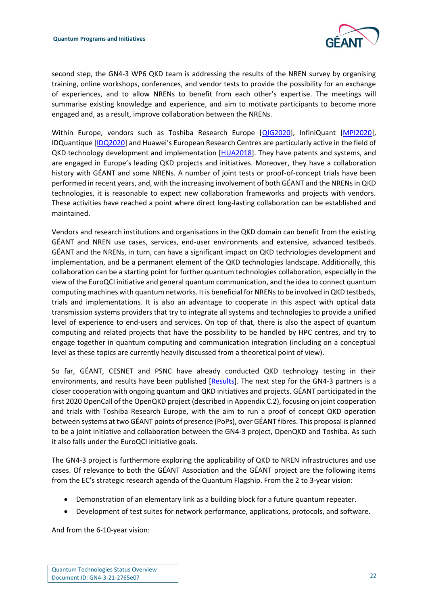

second step, the GN4-3 WP6 QKD team is addressing the results of the NREN survey by organising training, online workshops, conferences, and vendor tests to provide the possibility for an exchange of experiences, and to allow NRENs to benefit from each other's expertise. The meetings will summarise existing knowledge and experience, and aim to motivate participants to become more engaged and, as a result, improve collaboration between the NRENs.

Within Europe, vendors such as Toshiba Research Europe [\[QIG2020\]](#page-43-19), InfiniQuant [\[MPI2020\]](#page-42-15), IDQuantique [\[IDQ2020](#page-41-16)] and Huawei's European Research Centres are particularly active in the field of QKD technology development and implementation [\[HUA2018\]](#page-41-17). They have patents and systems, and are engaged in Europe's leading QKD projects and initiatives. Moreover, they have a collaboration history with GÉANT and some NRENs. A number of joint tests or proof-of-concept trials have been performed in recent years, and, with the increasing involvement of both GÉANT and the NRENs in QKD technologies, it is reasonable to expect new collaboration frameworks and projects with vendors. These activities have reached a point where direct long-lasting collaboration can be established and maintained.

Vendors and research institutions and organisations in the QKD domain can benefit from the existing GÉANT and NREN use cases, services, end-user environments and extensive, advanced testbeds. GÉANT and the NRENs, in turn, can have a significant impact on QKD technologies development and implementation, and be a permanent element of the QKD technologies landscape. Additionally, this collaboration can be a starting point for further quantum technologies collaboration, especially in the view of the EuroQCI initiative and general quantum communication, and the idea to connect quantum computing machines with quantum networks. It is beneficial for NRENs to be involved in QKD testbeds, trials and implementations. It is also an advantage to cooperate in this aspect with optical data transmission systems providers that try to integrate all systems and technologies to provide a unified level of experience to end-users and services. On top of that, there is also the aspect of quantum computing and related projects that have the possibility to be handled by HPC centres, and try to engage together in quantum computing and communication integration (including on a conceptual level as these topics are currently heavily discussed from a theoretical point of view).

So far, GÉANT, CESNET and PSNC have already conducted QKD technology testing in their environments, and results have been published [\[Results\]](#page-44-15). The next step for the GN4-3 partners is a closer cooperation with ongoing quantum and QKD initiatives and projects. GÉANT participated in the first 2020 OpenCall of the OpenQKD project (described in Appendix C.2), focusing on joint cooperation and trials with Toshiba Research Europe, with the aim to run a proof of concept QKD operation between systems at two GÉANT points of presence (PoPs), over GÉANT fibres. This proposal is planned to be a joint initiative and collaboration between the GN4-3 project, OpenQKD and Toshiba. As such it also falls under the EuroQCI initiative goals.

The GN4-3 project is furthermore exploring the applicability of QKD to NREN infrastructures and use cases. Of relevance to both the GÉANT Association and the GÉANT project are the following items from the EC's strategic research agenda of the Quantum Flagship. From the 2 to 3-year vision:

- Demonstration of an elementary link as a building block for a future quantum repeater.
- Development of test suites for network performance, applications, protocols, and software.

And from the 6-10-year vision: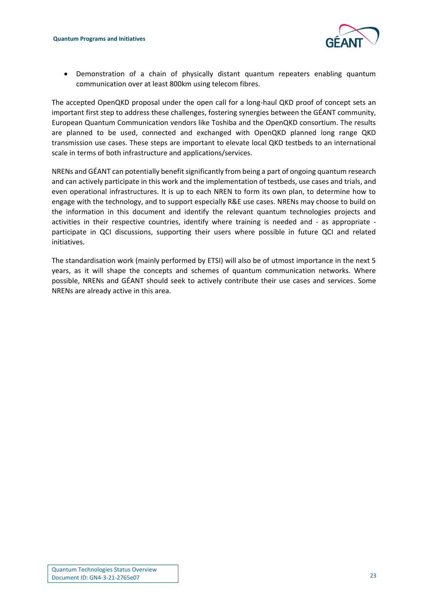

• Demonstration of a chain of physically distant quantum repeaters enabling quantum communication over at least 800km using telecom fibres.

The accepted OpenQKD proposal under the open call for a long-haul QKD proof of concept sets an important first step to address these challenges, fostering synergies between the GÉANT community, European Quantum Communication vendors like Toshiba and the OpenQKD consortium. The results are planned to be used, connected and exchanged with OpenQKD planned long range QKD transmission use cases. These steps are important to elevate local QKD testbeds to an international scale in terms of both infrastructure and applications/services.

NRENs and GÉANT can potentially benefit significantly from being a part of ongoing quantum research and can actively participate in this work and the implementation of testbeds, use cases and trials, and even operational infrastructures. It is up to each NREN to form its own plan, to determine how to engage with the technology, and to support especially R&E use cases. NRENs may choose to build on the information in this document and identify the relevant quantum technologies projects and activities in their respective countries, identify where training is needed and - as appropriate participate in QCI discussions, supporting their users where possible in future QCI and related initiatives.

The standardisation work (mainly performed by ETSI) will also be of utmost importance in the next 5 years, as it will shape the concepts and schemes of quantum communication networks. Where possible, NRENs and GÉANT should seek to actively contribute their use cases and services. Some NRENs are already active in this area.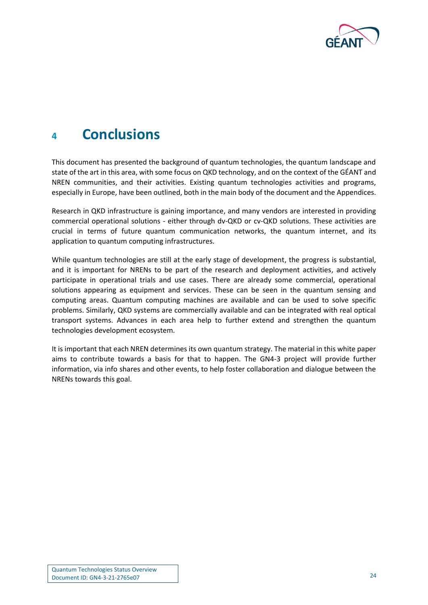

## <span id="page-24-0"></span>**<sup>4</sup> Conclusions**

This document has presented the background of quantum technologies, the quantum landscape and state of the art in this area, with some focus on QKD technology, and on the context of the GÉANT and NREN communities, and their activities. Existing quantum technologies activities and programs, especially in Europe, have been outlined, both in the main body of the document and the Appendices.

Research in QKD infrastructure is gaining importance, and many vendors are interested in providing commercial operational solutions - either through dv-QKD or cv-QKD solutions. These activities are crucial in terms of future quantum communication networks, the quantum internet, and its application to quantum computing infrastructures.

While quantum technologies are still at the early stage of development, the progress is substantial, and it is important for NRENs to be part of the research and deployment activities, and actively participate in operational trials and use cases. There are already some commercial, operational solutions appearing as equipment and services. These can be seen in the quantum sensing and computing areas. Quantum computing machines are available and can be used to solve specific problems. Similarly, QKD systems are commercially available and can be integrated with real optical transport systems. Advances in each area help to further extend and strengthen the quantum technologies development ecosystem.

It is important that each NREN determines its own quantum strategy. The material in this white paper aims to contribute towards a basis for that to happen. The GN4-3 project will provide further information, via info shares and other events, to help foster collaboration and dialogue between the NRENs towards this goal.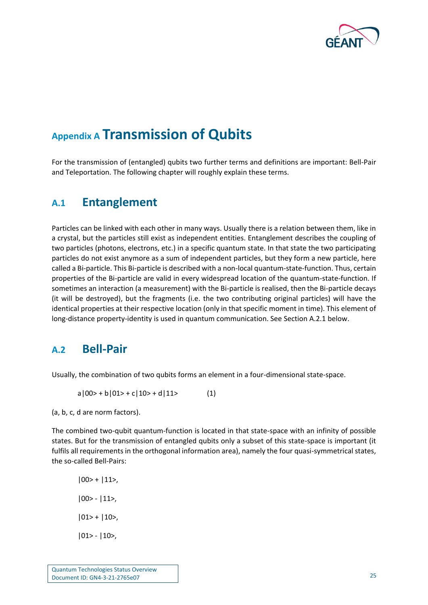

## <span id="page-25-0"></span>**Appendix A Transmission of Qubits**

For the transmission of (entangled) qubits two further terms and definitions are important: Bell-Pair and Teleportation. The following chapter will roughly explain these terms.

### <span id="page-25-1"></span>**A.1 Entanglement**

Particles can be linked with each other in many ways. Usually there is a relation between them, like in a crystal, but the particles still exist as independent entities. Entanglement describes the coupling of two particles (photons, electrons, etc.) in a specific quantum state. In that state the two participating particles do not exist anymore as a sum of independent particles, but they form a new particle, here called a Bi-particle. This Bi-particle is described with a non-local quantum-state-function. Thus, certain properties of the Bi-particle are valid in every widespread location of the quantum-state-function. If sometimes an interaction (a measurement) with the Bi-particle is realised, then the Bi-particle decays (it will be destroyed), but the fragments (i.e. the two contributing original particles) will have the identical properties at their respective location (only in that specific moment in time). This element of long-distance property-identity is used in quantum communication. See Section A.2.1 below.

### <span id="page-25-2"></span>**A.2 Bell-Pair**

Usually, the combination of two qubits forms an element in a four-dimensional state-space.

 $a|00\rangle + b|01\rangle + c|10\rangle + d|11\rangle$  (1)

(a, b, c, d are norm factors).

The combined two-qubit quantum-function is located in that state-space with an infinity of possible states. But for the transmission of entangled qubits only a subset of this state-space is important (it fulfils all requirements in the orthogonal information area), namely the four quasi-symmetrical states, the so-called Bell-Pairs:

 $|00\rangle + |11\rangle,$ |00> - |11>,  $|01$  +  $|10$ , |01> - |10>,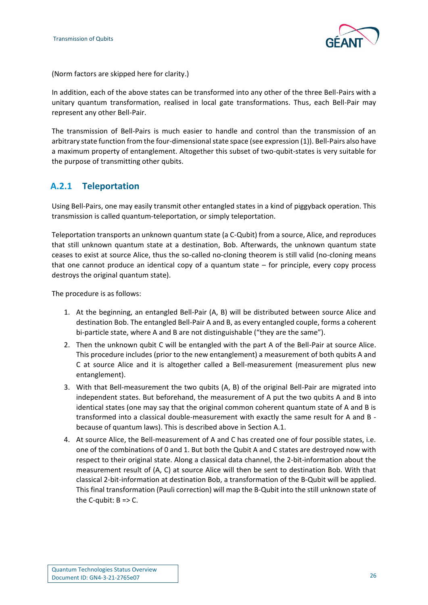

(Norm factors are skipped here for clarity.)

In addition, each of the above states can be transformed into any other of the three Bell-Pairs with a unitary quantum transformation, realised in local gate transformations. Thus, each Bell-Pair may represent any other Bell-Pair.

The transmission of Bell-Pairs is much easier to handle and control than the transmission of an arbitrary state function from the four-dimensional state space (see expression (1)). Bell-Pairs also have a maximum property of entanglement. Altogether this subset of two-qubit-states is very suitable for the purpose of transmitting other qubits.

#### <span id="page-26-0"></span>**A.2.1 Teleportation**

Using Bell-Pairs, one may easily transmit other entangled states in a kind of piggyback operation. This transmission is called quantum-teleportation, or simply teleportation.

Teleportation transports an unknown quantum state (a C-Qubit) from a source, Alice, and reproduces that still unknown quantum state at a destination, Bob. Afterwards, the unknown quantum state ceases to exist at source Alice, thus the so-called no-cloning theorem is still valid (no-cloning means that one cannot produce an identical copy of a quantum state – for principle, every copy process destroys the original quantum state).

The procedure is as follows:

- 1. At the beginning, an entangled Bell-Pair (A, B) will be distributed between source Alice and destination Bob. The entangled Bell-Pair A and B, as every entangled couple, forms a coherent bi-particle state, where A and B are not distinguishable ("they are the same").
- 2. Then the unknown qubit C will be entangled with the part A of the Bell-Pair at source Alice. This procedure includes (prior to the new entanglement) a measurement of both qubits A and C at source Alice and it is altogether called a Bell-measurement (measurement plus new entanglement).
- 3. With that Bell-measurement the two qubits (A, B) of the original Bell-Pair are migrated into independent states. But beforehand, the measurement of A put the two qubits A and B into identical states (one may say that the original common coherent quantum state of A and B is transformed into a classical double-measurement with exactly the same result for A and B because of quantum laws). This is described above in Section A.1.
- 4. At source Alice, the Bell-measurement of A and C has created one of four possible states, i.e. one of the combinations of 0 and 1. But both the Qubit A and C states are destroyed now with respect to their original state. Along a classical data channel, the 2-bit-information about the measurement result of (A, C) at source Alice will then be sent to destination Bob. With that classical 2-bit-information at destination Bob, a transformation of the B-Qubit will be applied. This final transformation (Pauli correction) will map the B-Qubit into the still unknown state of the C-qubit:  $B = > C$ .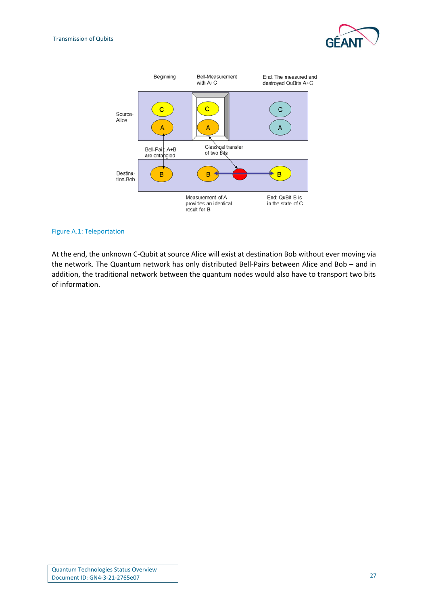



#### <span id="page-27-0"></span>Figure A.1: Teleportation

At the end, the unknown C-Qubit at source Alice will exist at destination Bob without ever moving via the network. The Quantum network has only distributed Bell-Pairs between Alice and Bob – and in addition, the traditional network between the quantum nodes would also have to transport two bits of information.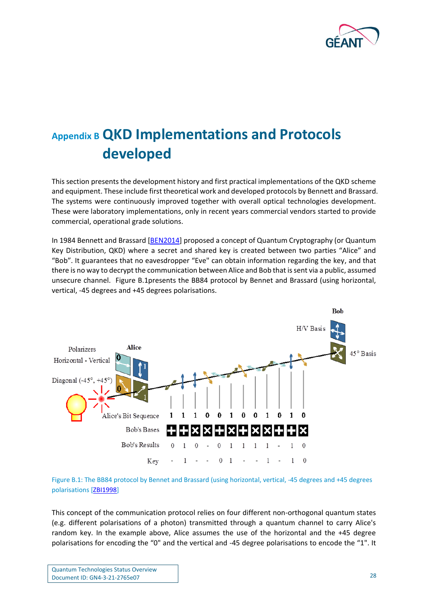

# <span id="page-28-0"></span>**Appendix B QKD Implementations and Protocols developed**

This section presents the development history and first practical implementations of the QKD scheme and equipment. These include first theoretical work and developed protocols by Bennett and Brassard. The systems were continuously improved together with overall optical technologies development. These were laboratory implementations, only in recent years commercial vendors started to provide commercial, operational grade solutions.

In 1984 Bennett and Brassard [\[BEN2014\]](#page-38-7) proposed a concept of Quantum Cryptography (or Quantum Key Distribution, QKD) where a secret and shared key is created between two parties "Alice" and "Bob". It guarantees that no eavesdropper "Eve" can obtain information regarding the key, and that there is no way to decrypt the communication between Alice and Bob that is sent via a public, assumed unsecure channel. [Figure B.1p](#page-28-1)resents the BB84 protocol by Bennet and Brassard (using horizontal, vertical, -45 degrees and +45 degrees polarisations.



<span id="page-28-1"></span>Figure B.1: The BB84 protocol by Bennet and Brassard (using horizontal, vertical, -45 degrees and +45 degrees polarisations [\[ZBI1998\]](#page-45-3)

This concept of the communication protocol relies on four different non-orthogonal quantum states (e.g. different polarisations of a photon) transmitted through a quantum channel to carry Alice's random key. In the example above, Alice assumes the use of the horizontal and the +45 degree polarisations for encoding the "0" and the vertical and -45 degree polarisations to encode the "1". It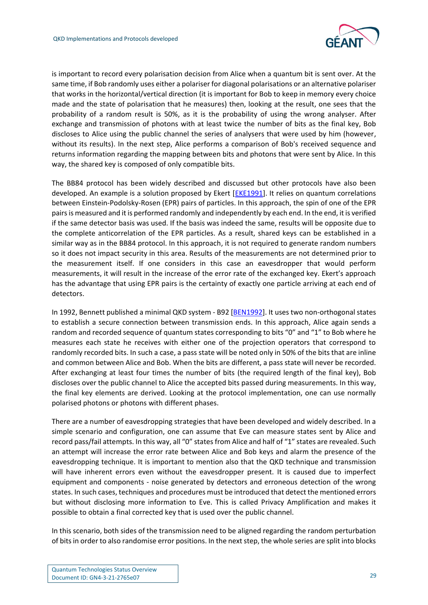

is important to record every polarisation decision from Alice when a quantum bit is sent over. At the same time, if Bob randomly uses either a polariser for diagonal polarisations or an alternative polariser that works in the horizontal/vertical direction (it is important for Bob to keep in memory every choice made and the state of polarisation that he measures) then, looking at the result, one sees that the probability of a random result is 50%, as it is the probability of using the wrong analyser. After exchange and transmission of photons with at least twice the number of bits as the final key, Bob discloses to Alice using the public channel the series of analysers that were used by him (however, without its results). In the next step, Alice performs a comparison of Bob's received sequence and returns information regarding the mapping between bits and photons that were sent by Alice. In this way, the shared key is composed of only compatible bits.

The BB84 protocol has been widely described and discussed but other protocols have also been developed. An example is a solution proposed by Ekert [\[EKE1991\]](#page-39-7). It relies on quantum correlations between Einstein-Podolsky-Rosen (EPR) pairs of particles. In this approach, the spin of one of the EPR pairs is measured and it is performed randomly and independently by each end. In the end, it is verified if the same detector basis was used. If the basis was indeed the same, results will be opposite due to the complete anticorrelation of the EPR particles. As a result, shared keys can be established in a similar way as in the BB84 protocol. In this approach, it is not required to generate random numbers so it does not impact security in this area. Results of the measurements are not determined prior to the measurement itself. If one considers in this case an eavesdropper that would perform measurements, it will result in the increase of the error rate of the exchanged key. Ekert's approach has the advantage that using EPR pairs is the certainty of exactly one particle arriving at each end of detectors.

In 1992, Bennett published a minimal QKD system - B92 [\[BEN1992\]](#page-38-8). It uses two non-orthogonal states to establish a secure connection between transmission ends. In this approach, Alice again sends a random and recorded sequence of quantum states corresponding to bits "0" and "1" to Bob where he measures each state he receives with either one of the projection operators that correspond to randomly recorded bits. In such a case, a pass state will be noted only in 50% of the bits that are inline and common between Alice and Bob. When the bits are different, a pass state will never be recorded. After exchanging at least four times the number of bits (the required length of the final key), Bob discloses over the public channel to Alice the accepted bits passed during measurements. In this way, the final key elements are derived. Looking at the protocol implementation, one can use normally polarised photons or photons with different phases.

There are a number of eavesdropping strategies that have been developed and widely described. In a simple scenario and configuration, one can assume that Eve can measure states sent by Alice and record pass/fail attempts. In this way, all "0" states from Alice and half of "1" states are revealed. Such an attempt will increase the error rate between Alice and Bob keys and alarm the presence of the eavesdropping technique. It is important to mention also that the QKD technique and transmission will have inherent errors even without the eavesdropper present. It is caused due to imperfect equipment and components - noise generated by detectors and erroneous detection of the wrong states. In such cases, techniques and procedures must be introduced that detect the mentioned errors but without disclosing more information to Eve. This is called Privacy Amplification and makes it possible to obtain a final corrected key that is used over the public channel.

In this scenario, both sides of the transmission need to be aligned regarding the random perturbation of bits in order to also randomise error positions. In the next step, the whole series are split into blocks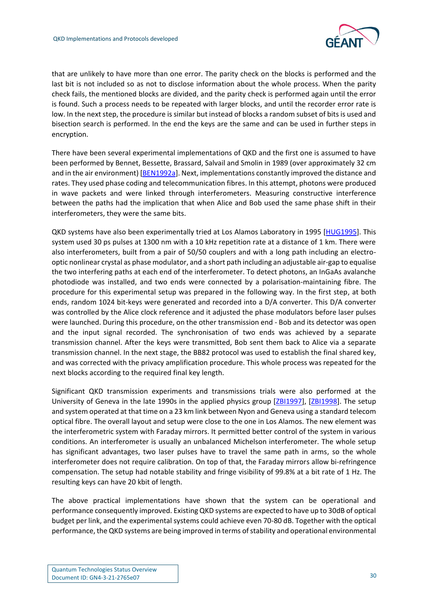

that are unlikely to have more than one error. The parity check on the blocks is performed and the last bit is not included so as not to disclose information about the whole process. When the parity check fails, the mentioned blocks are divided, and the parity check is performed again until the error is found. Such a process needs to be repeated with larger blocks, and until the recorder error rate is low. In the next step, the procedure is similar but instead of blocks a random subset of bits is used and bisection search is performed. In the end the keys are the same and can be used in further steps in encryption.

There have been several experimental implementations of QKD and the first one is assumed to have been performed by Bennet, Bessette, Brassard, Salvail and Smolin in 1989 (over approximately 32 cm and in the air environment) [\[BEN1992a\]](#page-38-11). Next, implementations constantly improved the distance and rates. They used phase coding and telecommunication fibres. In this attempt, photons were produced in wave packets and were linked through interferometers. Measuring constructive interference between the paths had the implication that when Alice and Bob used the same phase shift in their interferometers, they were the same bits.

QKD systems have also been experimentally tried at Los Alamos Laboratory in 1995 [\[HUG1995\]](#page-41-18). This system used 30 ps pulses at 1300 nm with a 10 kHz repetition rate at a distance of 1 km. There were also interferometers, built from a pair of 50/50 couplers and with a long path including an electrooptic nonlinear crystal as phase modulator, and a short path including an adjustable air-gap to equalise the two interfering paths at each end of the interferometer. To detect photons, an InGaAs avalanche photodiode was installed, and two ends were connected by a polarisation-maintaining fibre. The procedure for this experimental setup was prepared in the following way. In the first step, at both ends, random 1024 bit-keys were generated and recorded into a D/A converter. This D/A converter was controlled by the Alice clock reference and it adjusted the phase modulators before laser pulses were launched. During this procedure, on the other transmission end - Bob and its detector was open and the input signal recorded. The synchronisation of two ends was achieved by a separate transmission channel. After the keys were transmitted, Bob sent them back to Alice via a separate transmission channel. In the next stage, the BB82 protocol was used to establish the final shared key, and was corrected with the privacy amplification procedure. This whole process was repeated for the next blocks according to the required final key length.

Significant QKD transmission experiments and transmissions trials were also performed at the University of Geneva in the late 1990s in the applied physics group [\[ZBI1997\]](#page-45-4), [\[ZBI1998\]](#page-45-3). The setup and system operated at that time on a 23 km link between Nyon and Geneva using a standard telecom optical fibre. The overall layout and setup were close to the one in Los Alamos. The new element was the interferometric system with Faraday mirrors. It permitted better control of the system in various conditions. An interferometer is usually an unbalanced Michelson interferometer. The whole setup has significant advantages, two laser pulses have to travel the same path in arms, so the whole interferometer does not require calibration. On top of that, the Faraday mirrors allow bi-refringence compensation. The setup had notable stability and fringe visibility of 99.8% at a bit rate of 1 Hz. The resulting keys can have 20 kbit of length.

The above practical implementations have shown that the system can be operational and performance consequently improved. Existing QKD systems are expected to have up to 30dB of optical budget per link, and the experimental systems could achieve even 70-80 dB. Together with the optical performance, the QKD systems are being improved in terms of stability and operational environmental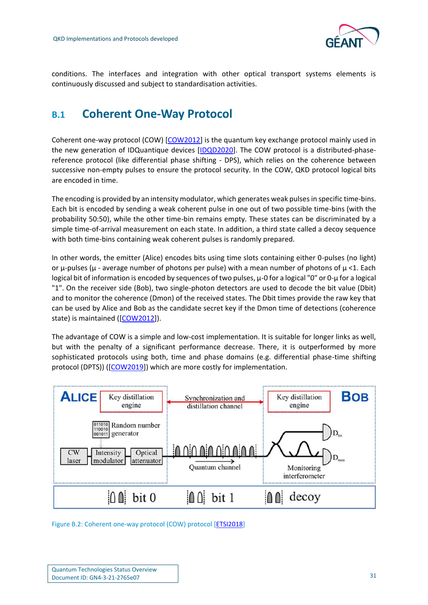

conditions. The interfaces and integration with other optical transport systems elements is continuously discussed and subject to standardisation activities.

## <span id="page-31-0"></span>**B.1 Coherent One-Way Protocol**

Coherent one-way protocol (COW) [\[COW2012\]](#page-39-14) is the quantum key exchange protocol mainly used in the new generation of IDQuantique devices [\[IDQD2020\]](#page-41-19). The COW protocol is a distributed-phasereference protocol (like differential phase shifting - DPS), which relies on the coherence between successive non-empty pulses to ensure the protocol security. In the COW, QKD protocol logical bits are encoded in time.

The encoding is provided by an intensity modulator, which generates weak pulses in specific time-bins. Each bit is encoded by sending a weak coherent pulse in one out of two possible time-bins (with the probability 50:50), while the other time-bin remains empty. These states can be discriminated by a simple time-of-arrival measurement on each state. In addition, a third state called a decoy sequence with both time-bins containing weak coherent pulses is randomly prepared.

In other words, the emitter (Alice) encodes bits using time slots containing either 0-pulses (no light) or μ-pulses (μ - average number of photons per pulse) with a mean number of photons of μ <1. Each logical bit of information is encoded by sequences of two pulses, μ-0 for a logical "0" or 0-μ for a logical "1". On the receiver side (Bob), two single-photon detectors are used to decode the bit value (Dbit) and to monitor the coherence (Dmon) of the received states. The Dbit times provide the raw key that can be used by Alice and Bob as the candidate secret key if the Dmon time of detections (coherence state) is maintained ([\[COW2012\]](#page-39-14)).

The advantage of COW is a simple and low-cost implementation. It is suitable for longer links as well, but with the penalty of a significant performance decrease. There, it is outperformed by more sophisticated protocols using both, time and phase domains (e.g. differential phase-time shifting protocol (DPTS)) ([\[COW2019\]](#page-39-15)) which are more costly for implementation.



<span id="page-31-1"></span>Figure B.2: Coherent one-way protocol (COW) protocol [\[ETSI2018\]](#page-40-11)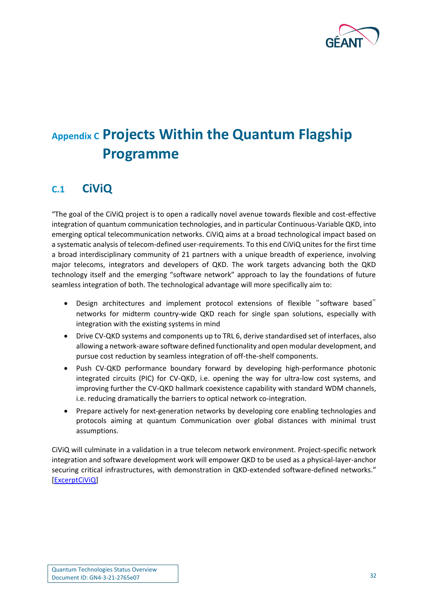

# <span id="page-32-0"></span>**Appendix C Projects Within the Quantum Flagship Programme**

## <span id="page-32-1"></span>**C.1 CiViQ**

"The goal of the CiViQ project is to open a radically novel avenue towards flexible and cost-effective integration of quantum communication technologies, and in particular Continuous-Variable QKD, into emerging optical telecommunication networks. CiViQ aims at a broad technological impact based on a systematic analysis of telecom-defined user-requirements. To this end CiViQ unites for the first time a broad interdisciplinary community of 21 partners with a unique breadth of experience, involving major telecoms, integrators and developers of QKD. The work targets advancing both the QKD technology itself and the emerging "software network" approach to lay the foundations of future seamless integration of both. The technological advantage will more specifically aim to:

- Design architectures and implement protocol extensions of flexible "software based" networks for midterm country-wide QKD reach for single span solutions, especially with integration with the existing systems in mind
- Drive CV-QKD systems and components up to TRL 6, derive standardised set of interfaces, also allowing a network-aware software defined functionality and open modular development, and pursue cost reduction by seamless integration of off-the-shelf components.
- Push CV-QKD performance boundary forward by developing high-performance photonic integrated circuits (PIC) for CV-QKD, i.e. opening the way for ultra-low cost systems, and improving further the CV-QKD hallmark coexistence capability with standard WDM channels, i.e. reducing dramatically the barriers to optical network co-integration.
- Prepare actively for next-generation networks by developing core enabling technologies and protocols aiming at quantum Communication over global distances with minimal trust assumptions.

CiViQ will culminate in a validation in a true telecom network environment. Project-specific network integration and software development work will empower QKD to be used as a physical-layer-anchor securing critical infrastructures, with demonstration in QKD-extended software-defined networks." [\[ExcerptCiViQ\]](#page-40-12)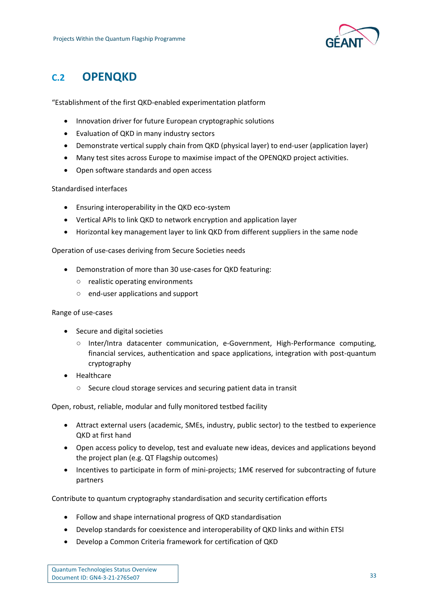

### <span id="page-33-0"></span>**C.2 OPENQKD**

"Establishment of the first QKD-enabled experimentation platform

- Innovation driver for future European cryptographic solutions
- Evaluation of QKD in many industry sectors
- Demonstrate vertical supply chain from QKD (physical layer) to end-user (application layer)
- Many test sites across Europe to maximise impact of the OPENQKD project activities.
- Open software standards and open access

#### Standardised interfaces

- Ensuring interoperability in the QKD eco-system
- Vertical APIs to link QKD to network encryption and application layer
- Horizontal key management layer to link QKD from different suppliers in the same node

#### Operation of use-cases deriving from Secure Societies needs

- Demonstration of more than 30 use-cases for QKD featuring:
	- realistic operating environments
	- end-user applications and support

#### Range of use-cases

- Secure and digital societies
	- Inter/Intra datacenter communication, e-Government, High-Performance computing, financial services, authentication and space applications, integration with post-quantum cryptography
- Healthcare
	- Secure cloud storage services and securing patient data in transit

Open, robust, reliable, modular and fully monitored testbed facility

- Attract external users (academic, SMEs, industry, public sector) to the testbed to experience QKD at first hand
- Open access policy to develop, test and evaluate new ideas, devices and applications beyond the project plan (e.g. QT Flagship outcomes)
- Incentives to participate in form of mini-projects; 1M€ reserved for subcontracting of future partners

Contribute to quantum cryptography standardisation and security certification efforts

- Follow and shape international progress of QKD standardisation
- Develop standards for coexistence and interoperability of QKD links and within ETSI
- Develop a Common Criteria framework for certification of QKD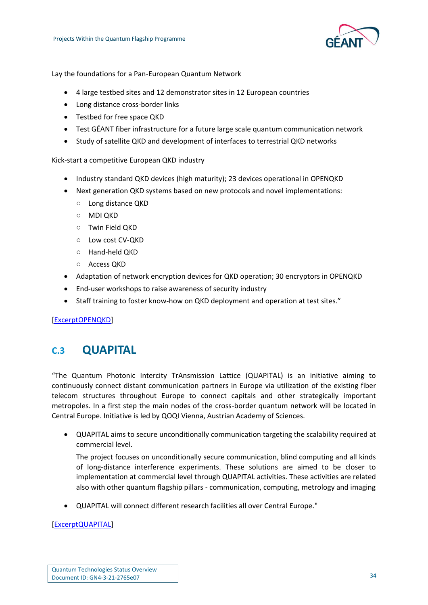

Lay the foundations for a Pan-European Quantum Network

- 4 large testbed sites and 12 demonstrator sites in 12 European countries
- Long distance cross-border links
- Testbed for free space QKD
- Test GÉANT fiber infrastructure for a future large scale quantum communication network
- Study of satellite QKD and development of interfaces to terrestrial QKD networks

Kick-start a competitive European QKD industry

- Industry standard QKD devices (high maturity); 23 devices operational in OPENQKD
- Next generation QKD systems based on new protocols and novel implementations:
	- Long distance QKD
	- MDI QKD
	- Twin Field QKD
	- Low cost CV-QKD
	- Hand-held QKD
	- Access QKD
- Adaptation of network encryption devices for QKD operation; 30 encryptors in OPENQKD
- End-user workshops to raise awareness of security industry
- Staff training to foster know-how on QKD deployment and operation at test sites."

[\[ExcerptOPENQKD\]](#page-40-13)

### <span id="page-34-0"></span>**C.3 QUAPITAL**

"The Quantum Photonic Intercity TrAnsmission Lattice (QUAPITAL) is an initiative aiming to continuously connect distant communication partners in Europe via utilization of the existing fiber telecom structures throughout Europe to connect capitals and other strategically important metropoles. In a first step the main nodes of the cross-border quantum network will be located in Central Europe. Initiative is led by QOQI Vienna, Austrian Academy of Sciences.

• QUAPITAL aims to secure unconditionally communication targeting the scalability required at commercial level.

The project focuses on unconditionally secure communication, blind computing and all kinds of long-distance interference experiments. These solutions are aimed to be closer to implementation at commercial level through QUAPITAL activities. These activities are related also with other quantum flagship pillars - communication, computing, metrology and imaging

• QUAPITAL will connect different research facilities all over Central Europe."

#### [\[ExcerptQUAPITAL\]](#page-40-14)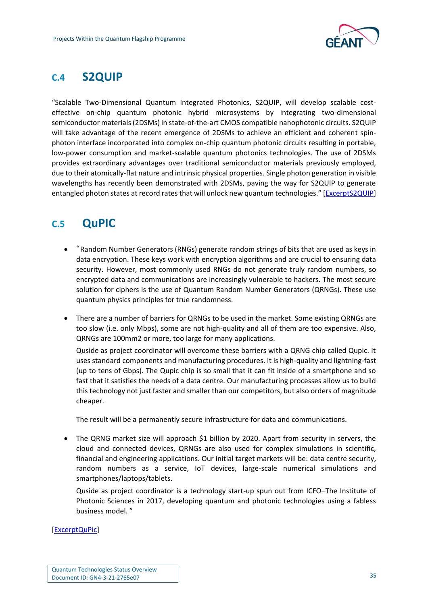

## <span id="page-35-0"></span>**C.4 S2QUIP**

"Scalable Two-Dimensional Quantum Integrated Photonics, S2QUIP, will develop scalable costeffective on-chip quantum photonic hybrid microsystems by integrating two-dimensional semiconductor materials (2DSMs) in state-of-the-art CMOS compatible nanophotonic circuits. S2QUIP will take advantage of the recent emergence of 2DSMs to achieve an efficient and coherent spinphoton interface incorporated into complex on-chip quantum photonic circuits resulting in portable, low-power consumption and market-scalable quantum photonics technologies. The use of 2DSMs provides extraordinary advantages over traditional semiconductor materials previously employed, due to their atomically-flat nature and intrinsic physical properties. Single photon generation in visible wavelengths has recently been demonstrated with 2DSMs, paving the way for S2QUIP to generate entangled photon states at record rates that will unlock new quantum technologies." [\[ExcerptS2QUIP\]](#page-40-15)

## <span id="page-35-1"></span>**C.5 QuPIC**

- "Random Number Generators (RNGs) generate random strings of bits that are used as keys in data encryption. These keys work with encryption algorithms and are crucial to ensuring data security. However, most commonly used RNGs do not generate truly random numbers, so encrypted data and communications are increasingly vulnerable to hackers. The most secure solution for ciphers is the use of Quantum Random Number Generators (QRNGs). These use quantum physics principles for true randomness.
- There are a number of barriers for QRNGs to be used in the market. Some existing QRNGs are too slow (i.e. only Mbps), some are not high-quality and all of them are too expensive. Also, QRNGs are 100mm2 or more, too large for many applications.

Quside as project coordinator will overcome these barriers with a QRNG chip called Qupic. It uses standard components and manufacturing procedures. It is high-quality and lightning-fast (up to tens of Gbps). The Qupic chip is so small that it can fit inside of a smartphone and so fast that it satisfies the needs of a data centre. Our manufacturing processes allow us to build this technology not just faster and smaller than our competitors, but also orders of magnitude cheaper.

The result will be a permanently secure infrastructure for data and communications.

• The QRNG market size will approach \$1 billion by 2020. Apart from security in servers, the cloud and connected devices, QRNGs are also used for complex simulations in scientific, financial and engineering applications. Our initial target markets will be: data centre security, random numbers as a service, IoT devices, large-scale numerical simulations and smartphones/laptops/tablets.

Quside as project coordinator is a technology start-up spun out from ICFO–The Institute of Photonic Sciences in 2017, developing quantum and photonic technologies using a fabless business model. "

[\[ExcerptQuPic\]](#page-40-16)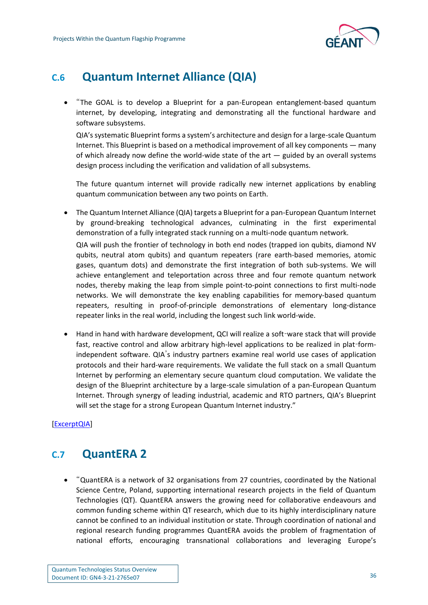

## <span id="page-36-0"></span>**C.6 Quantum Internet Alliance (QIA)**

• "The GOAL is to develop a Blueprint for a pan-European entanglement-based quantum internet, by developing, integrating and demonstrating all the functional hardware and software subsystems.

QIA's systematic Blueprint forms a system's architecture and design for a large-scale Quantum Internet. This Blueprint is based on a methodical improvement of all key components — many of which already now define the world-wide state of the art — guided by an overall systems design process including the verification and validation of all subsystems.

The future quantum internet will provide radically new internet applications by enabling quantum communication between any two points on Earth.

• The Quantum Internet Alliance (QIA) targets a Blueprint for a pan-European Quantum Internet by ground-breaking technological advances, culminating in the first experimental demonstration of a fully integrated stack running on a multi-node quantum network.

QIA will push the frontier of technology in both end nodes (trapped ion qubits, diamond NV qubits, neutral atom qubits) and quantum repeaters (rare earth-based memories, atomic gases, quantum dots) and demonstrate the first integration of both sub-systems. We will achieve entanglement and teleportation across three and four remote quantum network nodes, thereby making the leap from simple point-to-point connections to first multi-node networks. We will demonstrate the key enabling capabilities for memory-based quantum repeaters, resulting in proof-of-principle demonstrations of elementary long-distance repeater links in the real world, including the longest such link world-wide.

• Hand in hand with hardware development, QCI will realize a soft-ware stack that will provide fast, reactive control and allow arbitrary high-level applications to be realized in plat-formindependent software. QIA's industry partners examine real world use cases of application protocols and their hard-ware requirements. We validate the full stack on a small Quantum Internet by performing an elementary secure quantum cloud computation. We validate the design of the Blueprint architecture by a large-scale simulation of a pan-European Quantum Internet. Through synergy of leading industrial, academic and RTO partners, QIA's Blueprint will set the stage for a strong European Quantum Internet industry."

[\[ExcerptQIA\]](#page-40-17)

## <span id="page-36-1"></span>**C.7 QuantERA 2**

• "QuantERA is a network of 32 organisations from 27 countries, coordinated by the National Science Centre, Poland, supporting international research projects in the field of Quantum Technologies (QT). QuantERA answers the growing need for collaborative endeavours and common funding scheme within QT research, which due to its highly interdisciplinary nature cannot be confined to an individual institution or state. Through coordination of national and regional research funding programmes QuantERA avoids the problem of fragmentation of national efforts, encouraging transnational collaborations and leveraging Europe's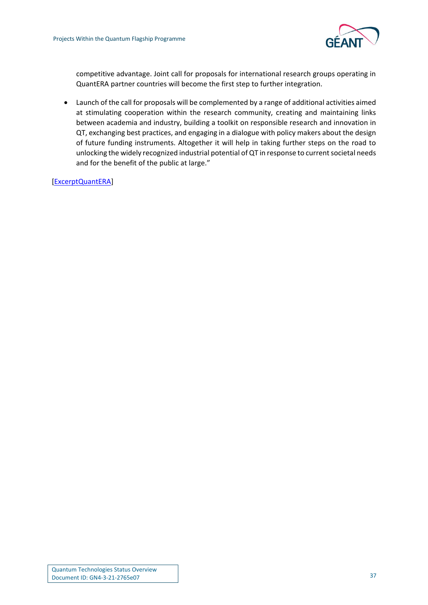

competitive advantage. Joint call for proposals for international research groups operating in QuantERA partner countries will become the first step to further integration.

• Launch of the call for proposals will be complemented by a range of additional activities aimed at stimulating cooperation within the research community, creating and maintaining links between academia and industry, building a toolkit on responsible research and innovation in QT, exchanging best practices, and engaging in a dialogue with policy makers about the design of future funding instruments. Altogether it will help in taking further steps on the road to unlocking the widely recognized industrial potential of QT in response to current societal needs and for the benefit of the public at large."

[\[ExcerptQuantERA\]](#page-40-18)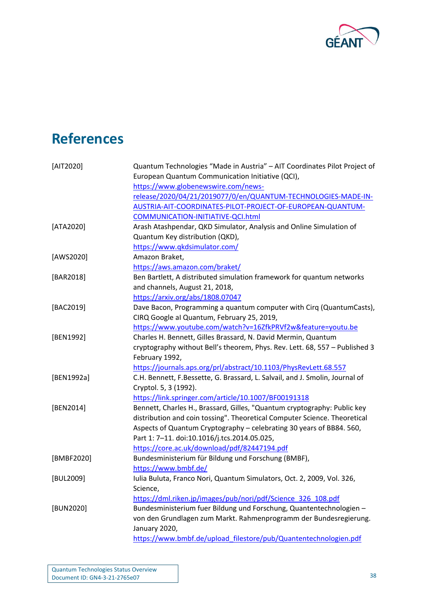

<span id="page-38-11"></span><span id="page-38-10"></span><span id="page-38-9"></span><span id="page-38-8"></span><span id="page-38-7"></span><span id="page-38-6"></span><span id="page-38-5"></span><span id="page-38-4"></span><span id="page-38-3"></span><span id="page-38-2"></span><span id="page-38-1"></span><span id="page-38-0"></span>

| [AIT2020]  | Quantum Technologies "Made in Austria" - AIT Coordinates Pilot Project of    |
|------------|------------------------------------------------------------------------------|
|            | European Quantum Communication Initiative (QCI),                             |
|            | https://www.globenewswire.com/news-                                          |
|            | release/2020/04/21/2019077/0/en/QUANTUM-TECHNOLOGIES-MADE-IN-                |
|            | AUSTRIA-AIT-COORDINATES-PILOT-PROJECT-OF-EUROPEAN-QUANTUM-                   |
|            | COMMUNICATION-INITIATIVE-QCI.html                                            |
| [ATA2020]  | Arash Atashpendar, QKD Simulator, Analysis and Online Simulation of          |
|            | Quantum Key distribution (QKD),                                              |
|            | https://www.qkdsimulator.com/                                                |
| [AWS2020]  | Amazon Braket,                                                               |
|            | https://aws.amazon.com/braket/                                               |
| [BAR2018]  | Ben Bartlett, A distributed simulation framework for quantum networks        |
|            | and channels, August 21, 2018,                                               |
|            | https://arxiv.org/abs/1808.07047                                             |
| [BAC2019]  | Dave Bacon, Programming a quantum computer with Cirq (QuantumCasts),         |
|            | CIRQ Google al Quantum, February 25, 2019,                                   |
|            | https://www.youtube.com/watch?v=16ZfkPRVf2w&feature=youtu.be                 |
| [BEN1992]  | Charles H. Bennett, Gilles Brassard, N. David Mermin, Quantum                |
|            | cryptography without Bell's theorem, Phys. Rev. Lett. 68, 557 - Published 3  |
|            | February 1992,                                                               |
|            | https://journals.aps.org/prl/abstract/10.1103/PhysRevLett.68.557             |
| [BEN1992a] | C.H. Bennett, F.Bessette, G. Brassard, L. Salvail, and J. Smolin, Journal of |
|            | Cryptol. 5, 3 (1992).                                                        |
|            | https://link.springer.com/article/10.1007/BF00191318                         |
| [BEN2014]  | Bennett, Charles H., Brassard, Gilles, "Quantum cryptography: Public key     |
|            | distribution and coin tossing". Theoretical Computer Science. Theoretical    |
|            | Aspects of Quantum Cryptography - celebrating 30 years of BB84. 560,         |
|            | Part 1: 7-11. doi:10.1016/j.tcs.2014.05.025,                                 |
|            | https://core.ac.uk/download/pdf/82447194.pdf                                 |
| [BMBF2020] | Bundesministerium für Bildung und Forschung (BMBF),                          |
|            | https://www.bmbf.de/                                                         |
| [BUL2009]  | Iulia Buluta, Franco Nori, Quantum Simulators, Oct. 2, 2009, Vol. 326,       |
|            | Science,                                                                     |
|            | https://dml.riken.jp/images/pub/nori/pdf/Science 326 108.pdf                 |
| [BUN2020]  | Bundesministerium fuer Bildung und Forschung, Quantentechnologien -          |
|            | von den Grundlagen zum Markt. Rahmenprogramm der Bundesregierung.            |
|            | January 2020,                                                                |
|            | https://www.bmbf.de/upload filestore/pub/Quantentechnologien.pdf             |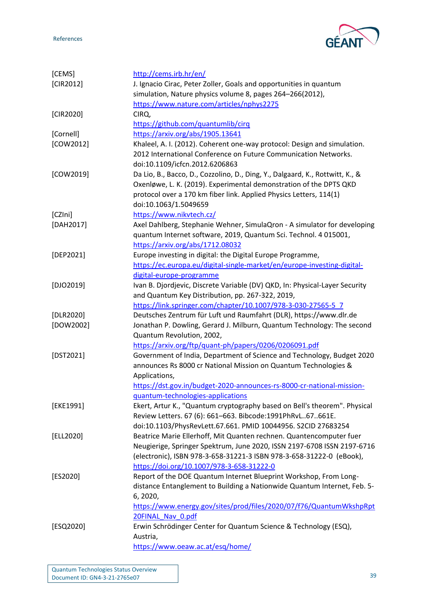



<span id="page-39-15"></span><span id="page-39-14"></span><span id="page-39-13"></span><span id="page-39-12"></span><span id="page-39-11"></span><span id="page-39-10"></span><span id="page-39-9"></span><span id="page-39-8"></span><span id="page-39-7"></span><span id="page-39-6"></span><span id="page-39-5"></span><span id="page-39-4"></span><span id="page-39-3"></span><span id="page-39-2"></span><span id="page-39-1"></span><span id="page-39-0"></span>

| [CEMS]      | http://cems.irb.hr/en/                                                        |
|-------------|-------------------------------------------------------------------------------|
| [CIR2012]   | J. Ignacio Cirac, Peter Zoller, Goals and opportunities in quantum            |
|             | simulation, Nature physics volume 8, pages 264-266(2012),                     |
|             | https://www.nature.com/articles/nphys2275                                     |
| [CIR2020]   | CIRQ,                                                                         |
|             | https://github.com/quantumlib/cirq                                            |
| [Cornell]   | https://arxiv.org/abs/1905.13641                                              |
| [COW2012]   | Khaleel, A. I. (2012). Coherent one-way protocol: Design and simulation.      |
|             | 2012 International Conference on Future Communication Networks.               |
|             | doi:10.1109/icfcn.2012.6206863                                                |
| [COW2019]   | Da Lio, B., Bacco, D., Cozzolino, D., Ding, Y., Dalgaard, K., Rottwitt, K., & |
|             | Oxenløwe, L. K. (2019). Experimental demonstration of the DPTS QKD            |
|             | protocol over a 170 km fiber link. Applied Physics Letters, 114(1)            |
|             | doi:10.1063/1.5049659                                                         |
| [CZIni]     | https://www.nikvtech.cz/                                                      |
| [DAH2017]   | Axel Dahlberg, Stephanie Wehner, SimulaQron - A simulator for developing      |
|             | quantum Internet software, 2019, Quantum Sci. Technol. 4 015001,              |
|             | https://arxiv.org/abs/1712.08032                                              |
| [DEP2021]   | Europe investing in digital: the Digital Europe Programme,                    |
|             | https://ec.europa.eu/digital-single-market/en/europe-investing-digital-       |
|             | digital-europe-programme                                                      |
| $[DIO2019]$ | Ivan B. Djordjevic, Discrete Variable (DV) QKD, In: Physical-Layer Security   |
|             | and Quantum Key Distribution, pp. 267-322, 2019,                              |
|             | https://link.springer.com/chapter/10.1007/978-3-030-27565-5_7                 |
| [DLR2020]   | Deutsches Zentrum für Luft und Raumfahrt (DLR), https://www.dlr.de            |
| [DOW2002]   | Jonathan P. Dowling, Gerard J. Milburn, Quantum Technology: The second        |
|             | Quantum Revolution, 2002,                                                     |
|             | https://arxiv.org/ftp/quant-ph/papers/0206/0206091.pdf                        |
| [DST2021]   | Government of India, Department of Science and Technology, Budget 2020        |
|             | announces Rs 8000 cr National Mission on Quantum Technologies &               |
|             | Applications,                                                                 |
|             | https://dst.gov.in/budget-2020-announces-rs-8000-cr-national-mission-         |
|             | guantum-technologies-applications                                             |
| [EKE1991]   | Ekert, Artur K., "Quantum cryptography based on Bell's theorem". Physical     |
|             | Review Letters. 67 (6): 661-663. Bibcode:1991PhRvL67661E.                     |
|             | doi:10.1103/PhysRevLett.67.661. PMID 10044956. S2CID 27683254                 |
| [ELL2020]   | Beatrice Marie Ellerhoff, Mit Quanten rechnen. Quantencomputer fuer           |
|             | Neugierige, Springer Spektrum, June 2020, ISSN 2197-6708 ISSN 2197-6716       |
|             | (electronic), ISBN 978-3-658-31221-3 ISBN 978-3-658-31222-0 (eBook),          |
|             | https://doi.org/10.1007/978-3-658-31222-0                                     |
| [ES2020]    | Report of the DOE Quantum Internet Blueprint Workshop, From Long-             |
|             | distance Entanglement to Building a Nationwide Quantum Internet, Feb. 5-      |
|             | 6, 2020,                                                                      |
|             | https://www.energy.gov/sites/prod/files/2020/07/f76/QuantumWkshpRpt           |
|             | 20FINAL Nav 0.pdf                                                             |
| [ESQ2020]   | Erwin Schrödinger Center for Quantum Science & Technology (ESQ),              |
|             | Austria,                                                                      |
|             | https://www.oeaw.ac.at/esq/home/                                              |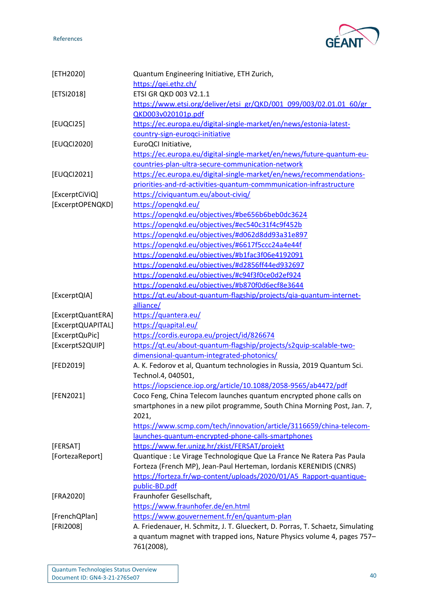

<span id="page-40-18"></span><span id="page-40-17"></span><span id="page-40-16"></span><span id="page-40-15"></span><span id="page-40-14"></span><span id="page-40-13"></span><span id="page-40-12"></span><span id="page-40-11"></span><span id="page-40-10"></span><span id="page-40-9"></span><span id="page-40-8"></span><span id="page-40-7"></span><span id="page-40-6"></span><span id="page-40-5"></span><span id="page-40-4"></span><span id="page-40-3"></span><span id="page-40-2"></span><span id="page-40-1"></span><span id="page-40-0"></span>

| [ETH2020]         | Quantum Engineering Initiative, ETH Zurich,                                    |
|-------------------|--------------------------------------------------------------------------------|
|                   | https://gei.ethz.ch/                                                           |
| [ETSI2018]        | ETSI GR QKD 003 V2.1.1                                                         |
|                   | https://www.etsi.org/deliver/etsi_gr/QKD/001_099/003/02.01.01_60/gr_           |
|                   | QKD003v020101p.pdf                                                             |
| [EUQCI25]         | https://ec.europa.eu/digital-single-market/en/news/estonia-latest-             |
|                   | country-sign-euroqci-initiative                                                |
| [EUQCI2020]       | EuroQCI Initiative,                                                            |
|                   | https://ec.europa.eu/digital-single-market/en/news/future-quantum-eu-          |
|                   | countries-plan-ultra-secure-communication-network                              |
| [EUQCI2021]       | https://ec.europa.eu/digital-single-market/en/news/recommendations-            |
|                   |                                                                                |
|                   | priorities-and-rd-activities-quantum-commmunication-infrastructure             |
| [ExcerptCiViQ]    | https://civiquantum.eu/about-civiq/                                            |
| [ExcerptOPENQKD]  | https://openqkd.eu/                                                            |
|                   | https://openqkd.eu/objectives/#be656b6beb0dc3624                               |
|                   | https://opengkd.eu/objectives/#ec540c31f4c9f452b                               |
|                   | https://opengkd.eu/objectives/#d062d8dd93a31e897                               |
|                   | https://openqkd.eu/objectives/#6617f5ccc24a4e44f                               |
|                   | https://openqkd.eu/objectives/#b1fac3f06e4192091                               |
|                   | https://opengkd.eu/objectives/#d2856ff44ed932697                               |
|                   | https://openqkd.eu/objectives/#c94f3f0ce0d2ef924                               |
|                   | https://opengkd.eu/objectives/#b870f0d6ecf8e3644                               |
| [ExcerptQIA]      | https://qt.eu/about-quantum-flagship/projects/qia-quantum-internet-            |
|                   | alliance/                                                                      |
| [ExcerptQuantERA] | https://quantera.eu/                                                           |
| [ExcerptQUAPITAL] | https://quapital.eu/                                                           |
| [ExcerptQuPic]    | https://cordis.europa.eu/project/id/826674                                     |
| [ExcerptS2QUIP]   | https://qt.eu/about-quantum-flagship/projects/s2quip-scalable-two-             |
|                   | dimensional-quantum-integrated-photonics/                                      |
| [FED2019]         | A. K. Fedorov et al, Quantum technologies in Russia, 2019 Quantum Sci.         |
|                   | Technol.4, 040501,                                                             |
|                   | https://iopscience.iop.org/article/10.1088/2058-9565/ab4472/pdf                |
|                   |                                                                                |
| [FEN2021]         | Coco Feng, China Telecom launches quantum encrypted phone calls on             |
|                   | smartphones in a new pilot programme, South China Morning Post, Jan. 7,        |
|                   | 2021,                                                                          |
|                   | https://www.scmp.com/tech/innovation/article/3116659/china-telecom-            |
|                   | launches-quantum-encrypted-phone-calls-smartphones                             |
| [FERSAT]          | https://www.fer.unizg.hr/zkist/FERSAT/projekt                                  |
| [FortezaReport]   | Quantique : Le Virage Technologique Que La France Ne Ratera Pas Paula          |
|                   | Forteza (French MP), Jean-Paul Herteman, Iordanis KERENIDIS (CNRS)             |
|                   | https://forteza.fr/wp-content/uploads/2020/01/A5_Rapport-quantique-            |
|                   | public-BD.pdf                                                                  |
| [FRA2020]         | Fraunhofer Gesellschaft,                                                       |
|                   | https://www.fraunhofer.de/en.html                                              |
| [FrenchQPlan]     | https://www.gouvernement.fr/en/quantum-plan                                    |
| [FRI2008]         | A. Friedenauer, H. Schmitz, J. T. Glueckert, D. Porras, T. Schaetz, Simulating |
|                   | a quantum magnet with trapped ions, Nature Physics volume 4, pages 757-        |
|                   | 761(2008),                                                                     |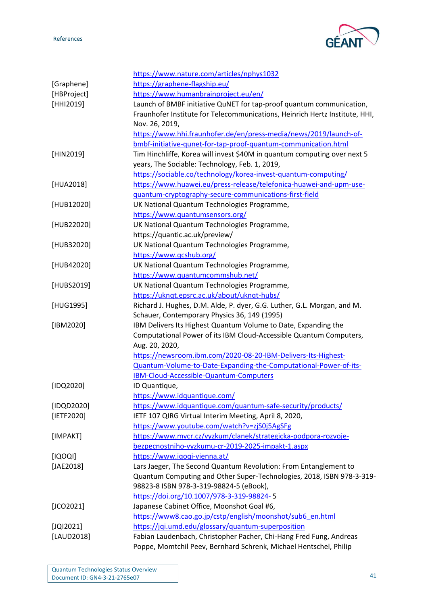

<span id="page-41-19"></span><span id="page-41-18"></span><span id="page-41-17"></span><span id="page-41-16"></span><span id="page-41-15"></span><span id="page-41-14"></span><span id="page-41-13"></span><span id="page-41-12"></span><span id="page-41-11"></span><span id="page-41-10"></span><span id="page-41-9"></span><span id="page-41-8"></span><span id="page-41-7"></span><span id="page-41-6"></span><span id="page-41-5"></span><span id="page-41-4"></span><span id="page-41-3"></span><span id="page-41-2"></span><span id="page-41-1"></span><span id="page-41-0"></span>

|             | https://www.nature.com/articles/nphys1032                                   |
|-------------|-----------------------------------------------------------------------------|
| [Graphene]  | https://graphene-flagship.eu/                                               |
| [HBProject] | https://www.humanbrainproject.eu/en/                                        |
| [HHI2019]   | Launch of BMBF initiative QuNET for tap-proof quantum communication,        |
|             | Fraunhofer Institute for Telecommunications, Heinrich Hertz Institute, HHI, |
|             | Nov. 26, 2019,                                                              |
|             | https://www.hhi.fraunhofer.de/en/press-media/news/2019/launch-of-           |
|             | bmbf-initiative-qunet-for-tap-proof-quantum-communication.html              |
| [HIN2019]   | Tim Hinchliffe, Korea will invest \$40M in quantum computing over next 5    |
|             | years, The Sociable: Technology, Feb. 1, 2019,                              |
|             | https://sociable.co/technology/korea-invest-quantum-computing/              |
| [HUA2018]   | https://www.huawei.eu/press-release/telefonica-huawei-and-upm-use-          |
|             | guantum-cryptography-secure-communications-first-field                      |
| [HUB12020]  | UK National Quantum Technologies Programme,                                 |
|             | https://www.quantumsensors.org/                                             |
| [HUB22020]  | UK National Quantum Technologies Programme,                                 |
|             |                                                                             |
|             | https://quantic.ac.uk/preview/                                              |
| [HUB32020]  | UK National Quantum Technologies Programme,                                 |
|             | https://www.qcshub.org/                                                     |
| [HUB42020]  | UK National Quantum Technologies Programme,                                 |
|             | https://www.quantumcommshub.net/                                            |
| [HUBS2019]  | UK National Quantum Technologies Programme,                                 |
|             | https://uknqt.epsrc.ac.uk/about/uknqt-hubs/                                 |
| [HUG1995]   | Richard J. Hughes, D.M. Alde, P. dyer, G.G. Luther, G.L. Morgan, and M.     |
|             | Schauer, Contemporary Physics 36, 149 (1995)                                |
| [IBM2020]   | IBM Delivers Its Highest Quantum Volume to Date, Expanding the              |
|             | Computational Power of its IBM Cloud-Accessible Quantum Computers,          |
|             | Aug. 20, 2020,                                                              |
|             | https://newsroom.ibm.com/2020-08-20-IBM-Delivers-Its-Highest-               |
|             | Quantum-Volume-to-Date-Expanding-the-Computational-Power-of-its-            |
|             | IBM-Cloud-Accessible-Quantum-Computers                                      |
| $[1DQ2020]$ | ID Quantique,                                                               |
|             | https://www.idquantique.com/                                                |
| [IDQD2020]  | https://www.idquantique.com/quantum-safe-security/products/                 |
| [IETF2020]  | IETF 107 QIRG Virtual Interim Meeting, April 8, 2020,                       |
|             | https://www.youtube.com/watch?v=zjS0j5AgSFg                                 |
| [IMPAKT]    | https://www.mvcr.cz/vyzkum/clanek/strategicka-podpora-rozvoje-              |
|             | bezpecnostniho-vyzkumu-cr-2019-2025-impakt-1.aspx                           |
| [IOOO]      | https://www.iqoqi-vienna.at/                                                |
| [JAE2018]   | Lars Jaeger, The Second Quantum Revolution: From Entanglement to            |
|             | Quantum Computing and Other Super-Technologies, 2018, ISBN 978-3-319-       |
|             | 98823-8 ISBN 978-3-319-98824-5 (eBook),                                     |
|             | https://doi.org/10.1007/978-3-319-98824-5                                   |
| $[JCO2O21]$ | Japanese Cabinet Office, Moonshot Goal #6,                                  |
|             | https://www8.cao.go.jp/cstp/english/moonshot/sub6_en.html                   |
| $[JQI2021]$ | https://jqi.umd.edu/glossary/quantum-superposition                          |
| [LAUD2018]  | Fabian Laudenbach, Christopher Pacher, Chi-Hang Fred Fung, Andreas          |
|             | Poppe, Momtchil Peev, Bernhard Schrenk, Michael Hentschel, Philip           |
|             |                                                                             |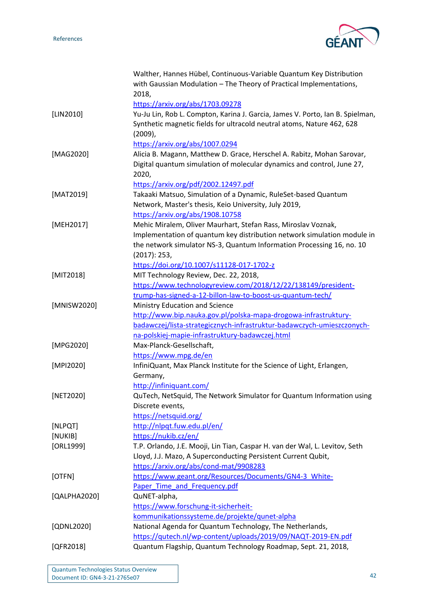

<span id="page-42-15"></span><span id="page-42-14"></span><span id="page-42-13"></span><span id="page-42-12"></span><span id="page-42-11"></span><span id="page-42-10"></span><span id="page-42-9"></span><span id="page-42-8"></span><span id="page-42-7"></span><span id="page-42-6"></span><span id="page-42-5"></span><span id="page-42-4"></span><span id="page-42-3"></span><span id="page-42-2"></span><span id="page-42-1"></span><span id="page-42-0"></span>

|              | Walther, Hannes Hübel, Continuous-Variable Quantum Key Distribution           |
|--------------|-------------------------------------------------------------------------------|
|              | with Gaussian Modulation - The Theory of Practical Implementations,           |
|              | 2018,                                                                         |
|              | https://arxiv.org/abs/1703.09278                                              |
| [LIN2010]    | Yu-Ju Lin, Rob L. Compton, Karina J. Garcia, James V. Porto, Ian B. Spielman, |
|              | Synthetic magnetic fields for ultracold neutral atoms, Nature 462, 628        |
|              | $(2009)$ ,                                                                    |
|              | https://arxiv.org/abs/1007.0294                                               |
| [MAG2020]    | Alicia B. Magann, Matthew D. Grace, Herschel A. Rabitz, Mohan Sarovar,        |
|              | Digital quantum simulation of molecular dynamics and control, June 27,        |
|              | 2020,                                                                         |
|              | https://arxiv.org/pdf/2002.12497.pdf                                          |
| [MAT2019]    | Takaaki Matsuo, Simulation of a Dynamic, RuleSet-based Quantum                |
|              | Network, Master's thesis, Keio University, July 2019,                         |
|              | https://arxiv.org/abs/1908.10758                                              |
| [MEH2017]    | Mehic Miralem, Oliver Maurhart, Stefan Rass, Miroslav Voznak,                 |
|              | Implementation of quantum key distribution network simulation module in       |
|              | the network simulator NS-3, Quantum Information Processing 16, no. 10         |
|              | (2017): 253,                                                                  |
|              | https://doi.org/10.1007/s11128-017-1702-z                                     |
| [MIT2018]    | MIT Technology Review, Dec. 22, 2018,                                         |
|              | https://www.technologyreview.com/2018/12/22/138149/president-                 |
|              | trump-has-signed-a-12-billon-law-to-boost-us-quantum-tech/                    |
| [MNISW2020]  | Ministry Education and Science                                                |
|              | http://www.bip.nauka.gov.pl/polska-mapa-drogowa-infrastruktury-               |
|              | badawczej/lista-strategicznych-infrastruktur-badawczych-umieszczonych-        |
|              | na-polskiej-mapie-infrastruktury-badawczej.html                               |
| [MPG2020]    | Max-Planck-Gesellschaft,                                                      |
|              | https://www.mpg.de/en                                                         |
| [MPI2020]    | InfiniQuant, Max Planck Institute for the Science of Light, Erlangen,         |
|              | Germany,                                                                      |
|              | http://infiniquant.com/                                                       |
| [NET2020]    | QuTech, NetSquid, The Network Simulator for Quantum Information using         |
|              | Discrete events,                                                              |
|              | https://netsquid.org/                                                         |
| [NLPQT]      | http://nlpqt.fuw.edu.pl/en/                                                   |
| [NUKIB]      | https://nukib.cz/en/                                                          |
| [ORL1999]    | T.P. Orlando, J.E. Mooji, Lin Tian, Caspar H. van der Wal, L. Levitov, Seth   |
|              | Lloyd, J.J. Mazo, A Superconducting Persistent Current Qubit,                 |
|              | https://arxiv.org/abs/cond-mat/9908283                                        |
| [OTFN]       | https://www.geant.org/Resources/Documents/GN4-3_White-                        |
|              | Paper Time and Frequency.pdf                                                  |
| [QALPHA2020] | QuNET-alpha,                                                                  |
|              | https://www.forschung-it-sicherheit-                                          |
|              | kommunikationssysteme.de/projekte/qunet-alpha                                 |
| [QDNL2020]   | National Agenda for Quantum Technology, The Netherlands,                      |
|              | https://qutech.nl/wp-content/uploads/2019/09/NAQT-2019-EN.pdf                 |
| [QFR2018]    | Quantum Flagship, Quantum Technology Roadmap, Sept. 21, 2018,                 |
|              |                                                                               |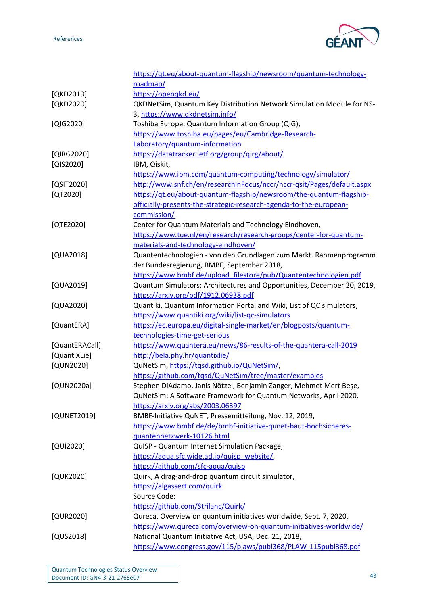

<span id="page-43-19"></span><span id="page-43-18"></span><span id="page-43-17"></span><span id="page-43-16"></span><span id="page-43-15"></span><span id="page-43-14"></span><span id="page-43-13"></span><span id="page-43-12"></span><span id="page-43-11"></span><span id="page-43-10"></span><span id="page-43-9"></span><span id="page-43-8"></span><span id="page-43-7"></span><span id="page-43-6"></span><span id="page-43-5"></span><span id="page-43-4"></span><span id="page-43-3"></span><span id="page-43-2"></span><span id="page-43-1"></span><span id="page-43-0"></span>

|                | https://qt.eu/about-quantum-flagship/newsroom/quantum-technology-       |
|----------------|-------------------------------------------------------------------------|
|                | roadmap/                                                                |
| [QKD2019]      | https://openqkd.eu/                                                     |
| [QKD2020]      | QKDNetSim, Quantum Key Distribution Network Simulation Module for NS-   |
|                | 3, https://www.qkdnetsim.info/                                          |
| [QIG2020]      | Toshiba Europe, Quantum Information Group (QIG),                        |
|                | https://www.toshiba.eu/pages/eu/Cambridge-Research-                     |
|                | Laboratory/quantum-information                                          |
| [QIRG2020]     | https://datatracker.ietf.org/group/qirg/about/                          |
| [QIS2020]      | IBM, Qiskit,                                                            |
|                | https://www.ibm.com/quantum-computing/technology/simulator/             |
| [QSIT2020]     | http://www.snf.ch/en/researchinFocus/nccr/nccr-qsit/Pages/default.aspx  |
| $[QT2020]$     | https://qt.eu/about-quantum-flagship/newsroom/the-quantum-flagship-     |
|                | officially-presents-the-strategic-research-agenda-to-the-european-      |
|                | commission/                                                             |
| [QTE2020]      | Center for Quantum Materials and Technology Eindhoven,                  |
|                | https://www.tue.nl/en/research/research-groups/center-for-quantum-      |
|                | materials-and-technology-eindhoven/                                     |
| [QUA2018]      | Quantentechnologien - von den Grundlagen zum Markt. Rahmenprogramm      |
|                | der Bundesregierung, BMBF, September 2018,                              |
|                | https://www.bmbf.de/upload_filestore/pub/Quantentechnologien.pdf        |
| [QUA2019]      | Quantum Simulators: Architectures and Opportunities, December 20, 2019, |
|                | https://arxiv.org/pdf/1912.06938.pdf                                    |
| [QUA2020]      | Quantiki, Quantum Information Portal and Wiki, List of QC simulators,   |
|                | https://www.quantiki.org/wiki/list-qc-simulators                        |
| [QuantERA]     | https://ec.europa.eu/digital-single-market/en/blogposts/quantum-        |
|                | technologies-time-get-serious                                           |
| [QuantERACall] | https://www.quantera.eu/news/86-results-of-the-quantera-call-2019       |
| [QuantiXLie]   | http://bela.phy.hr/quantixlie/                                          |
| [QUN2020]      | QuNetSim, https://tqsd.github.io/QuNetSim/,                             |
|                | https://github.com/tqsd/QuNetSim/tree/master/examples                   |
| [QUN2020a]     | Stephen DiAdamo, Janis Nötzel, Benjamin Zanger, Mehmet Mert Beşe,       |
|                | QuNetSim: A Software Framework for Quantum Networks, April 2020,        |
|                | https://arxiv.org/abs/2003.06397                                        |
| [QUNET2019]    | BMBF-Initiative QuNET, Pressemitteilung, Nov. 12, 2019,                 |
|                | https://www.bmbf.de/de/bmbf-initiative-qunet-baut-hochsicheres-         |
|                | quantennetzwerk-10126.html                                              |
| [QUI2020]      | QuISP - Quantum Internet Simulation Package,                            |
|                |                                                                         |
|                | https://aqua.sfc.wide.ad.jp/quisp website/,                             |
|                | https://github.com/sfc-aqua/quisp                                       |
| [QUK2020]      | Quirk, A drag-and-drop quantum circuit simulator,                       |
|                | https://algassert.com/quirk                                             |
|                | Source Code:                                                            |
|                | https://github.com/Strilanc/Quirk/                                      |
| [QUR2020]      | Qureca, Overview on quantum initiatives worldwide, Sept. 7, 2020,       |
|                | https://www.qureca.com/overview-on-quantum-initiatives-worldwide/       |
| [QUS2018]      | National Quantum Initiative Act, USA, Dec. 21, 2018,                    |
|                | https://www.congress.gov/115/plaws/publ368/PLAW-115publ368.pdf          |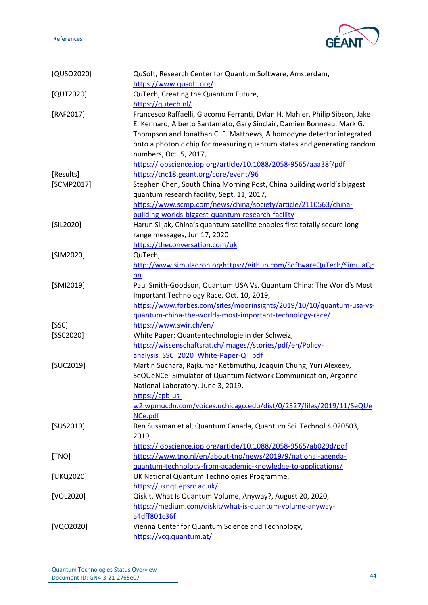

<span id="page-44-15"></span><span id="page-44-14"></span><span id="page-44-13"></span><span id="page-44-12"></span><span id="page-44-11"></span><span id="page-44-10"></span><span id="page-44-9"></span><span id="page-44-8"></span><span id="page-44-7"></span><span id="page-44-6"></span><span id="page-44-5"></span><span id="page-44-4"></span><span id="page-44-3"></span><span id="page-44-2"></span><span id="page-44-1"></span><span id="page-44-0"></span>

| [QUSO2020] | QuSoft, Research Center for Quantum Software, Amsterdam,                    |
|------------|-----------------------------------------------------------------------------|
|            | https://www.qusoft.org/                                                     |
| [QUT2020]  | QuTech, Creating the Quantum Future,                                        |
|            | https://qutech.nl/                                                          |
| [RAF2017]  | Francesco Raffaelli, Giacomo Ferranti, Dylan H. Mahler, Philip Sibson, Jake |
|            | E. Kennard, Alberto Santamato, Gary Sinclair, Damien Bonneau, Mark G.       |
|            | Thompson and Jonathan C. F. Matthews, A homodyne detector integrated        |
|            | onto a photonic chip for measuring quantum states and generating random     |
|            | numbers, Oct. 5, 2017,                                                      |
|            | https://iopscience.iop.org/article/10.1088/2058-9565/aaa38f/pdf             |
| [Results]  | https://tnc18.geant.org/core/event/96                                       |
| [SCMP2017] | Stephen Chen, South China Morning Post, China building world's biggest      |
|            | quantum research facility, Sept. 11, 2017,                                  |
|            | https://www.scmp.com/news/china/society/article/2110563/china-              |
|            | building-worlds-biggest-quantum-research-facility                           |
| [SIL2020]  | Harun Siljak, China's quantum satellite enables first totally secure long-  |
|            | range messages, Jun 17, 2020                                                |
|            | https://theconversation.com/uk                                              |
| [SIM2020]  | QuTech,                                                                     |
|            | http://www.simulagron.orghttps://github.com/SoftwareQuTech/SimulaQr         |
|            | on                                                                          |
| [SMI2019]  | Paul Smith-Goodson, Quantum USA Vs. Quantum China: The World's Most         |
|            | Important Technology Race, Oct. 10, 2019,                                   |
|            | https://www.forbes.com/sites/moorinsights/2019/10/10/quantum-usa-vs-        |
|            | guantum-china-the-worlds-most-important-technology-race/                    |
| [SSC]      | https://www.swir.ch/en/                                                     |
| [SSC2020]  | White Paper: Quantentechnologie in der Schweiz,                             |
|            | https://wissenschaftsrat.ch/images//stories/pdf/en/Policy-                  |
|            | analysis SSC 2020 White-Paper-QT.pdf                                        |
| [SUC2019]  | Martin Suchara, Rajkumar Kettimuthu, Joaquin Chung, Yuri Alexeev,           |
|            | SeQUeNCe-Simulator of Quantum Network Communication, Argonne                |
|            | National Laboratory, June 3, 2019,                                          |
|            | https://cpb-us-                                                             |
|            | w2.wpmucdn.com/voices.uchicago.edu/dist/0/2327/files/2019/11/SeQUe          |
|            | NCe.pdf                                                                     |
| [SUS2019]  | Ben Sussman et al, Quantum Canada, Quantum Sci. Technol.4 020503,           |
|            | 2019,                                                                       |
|            | https://iopscience.iop.org/article/10.1088/2058-9565/ab029d/pdf             |
| [TNO]      | https://www.tno.nl/en/about-tno/news/2019/9/national-agenda-                |
|            | guantum-technology-from-academic-knowledge-to-applications/                 |
| [UKQ2020]  | UK National Quantum Technologies Programme,                                 |
|            | https://ukngt.epsrc.ac.uk/                                                  |
| [VOL2020]  | Qiskit, What Is Quantum Volume, Anyway?, August 20, 2020,                   |
|            | https://medium.com/qiskit/what-is-quantum-volume-anyway-                    |
|            | a4dff801c36f                                                                |
| [VQO2020]  | Vienna Center for Quantum Science and Technology,                           |
|            | https://vcq.quantum.at/                                                     |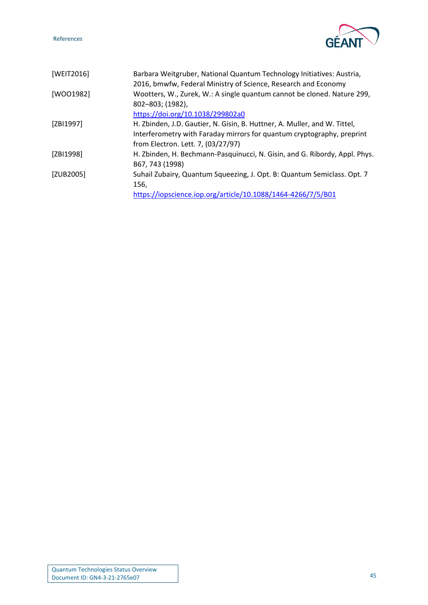

<span id="page-45-4"></span><span id="page-45-3"></span><span id="page-45-2"></span><span id="page-45-1"></span><span id="page-45-0"></span>

| [WEIT2016] | Barbara Weitgruber, National Quantum Technology Initiatives: Austria,<br>2016, bmwfw, Federal Ministry of Science, Research and Economy |
|------------|-----------------------------------------------------------------------------------------------------------------------------------------|
| [WOO1982]  | Wootters, W., Zurek, W.: A single quantum cannot be cloned. Nature 299,<br>802-803; (1982),                                             |
|            | https://doi.org/10.1038/299802a0                                                                                                        |
| [ZBI1997]  | H. Zbinden, J.D. Gautier, N. Gisin, B. Huttner, A. Muller, and W. Tittel,                                                               |
|            | Interferometry with Faraday mirrors for quantum cryptography, preprint                                                                  |
|            | from Electron. Lett. 7, (03/27/97)                                                                                                      |
| [ZBI1998]  | H. Zbinden, H. Bechmann-Pasquinucci, N. Gisin, and G. Ribordy, Appl. Phys.<br>B67, 743 (1998)                                           |
| [ZUB2005]  | Suhail Zubairy, Quantum Squeezing, J. Opt. B: Quantum Semiclass. Opt. 7<br>156,                                                         |
|            | https://iopscience.iop.org/article/10.1088/1464-4266/7/5/B01                                                                            |